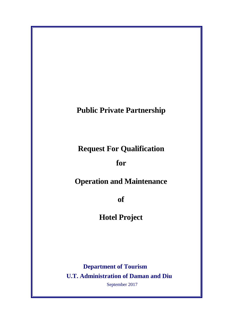# **Public Private Partnership**

**Request For Qualification**

**for**

# **Operation and Maintenance**

**of** 

**Hotel Project**

**Department of Tourism U.T. Administration of Daman and Diu**

September 2017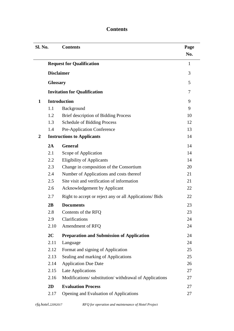# **Contents**

| Sl. No.          |                   | <b>Contents</b>                                         | Page<br>No.  |
|------------------|-------------------|---------------------------------------------------------|--------------|
|                  |                   | <b>Request for Qualification</b>                        | $\mathbf{1}$ |
|                  | <b>Disclaimer</b> |                                                         | 3            |
|                  | <b>Glossary</b>   |                                                         | 5            |
|                  |                   | <b>Invitation for Qualification</b>                     | 7            |
| $\mathbf{1}$     |                   | <b>Introduction</b>                                     | 9            |
|                  | 1.1               | Background                                              | 9            |
|                  | 1.2               | <b>Brief description of Bidding Process</b>             | 10           |
|                  | 1.3               | <b>Schedule of Bidding Process</b>                      | 12           |
|                  | 1.4               | Pre-Application Conference                              | 13           |
| $\boldsymbol{2}$ |                   | <b>Instructions to Applicants</b>                       | 14           |
|                  | 2A                | <b>General</b>                                          | 14           |
|                  | 2.1               | Scope of Application                                    | 14           |
|                  | 2.2               | <b>Eligibility of Applicants</b>                        | 14           |
|                  | 2.3               | Change in composition of the Consortium                 | 20           |
|                  | 2.4               | Number of Applications and costs thereof                | 21           |
|                  | 2.5               | Site visit and verification of information              | 21           |
|                  | 2.6               | <b>Acknowledgement by Applicant</b>                     | 22           |
|                  | 2.7               | Right to accept or reject any or all Applications/ Bids | 22           |
|                  | 2B                | <b>Documents</b>                                        | 23           |
|                  | 2.8               | Contents of the RFQ                                     | 23           |
|                  | 2.9               | Clarifications                                          | 24           |
|                  | 2.10              | Amendment of RFQ                                        | 24           |
|                  | 2C                | <b>Preparation and Submission of Application</b>        | 24           |
|                  | 2.11              | Language                                                | 24           |
|                  | 2.12              | Format and signing of Application                       | 25           |
|                  | 2.13              | Sealing and marking of Applications                     | 25           |
|                  | 2.14              | <b>Application Due Date</b>                             | 26           |
|                  | 2.15              | Late Applications                                       | 27           |
|                  | 2.16              | Modifications/substitution/withdrawal of Applications   | 27           |
|                  | 2D                | <b>Evaluation Process</b>                               | 27           |
|                  | 2.17              | Opening and Evaluation of Applications                  | 27           |

*rfq.hotel.22092017 RFQ for operation and maintenance of Hotel Project*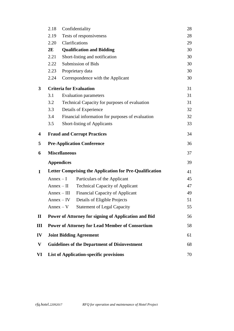|              | 2.18              | Confidentiality                                         | 28 |
|--------------|-------------------|---------------------------------------------------------|----|
|              | 2.19              | Tests of responsiveness                                 | 28 |
|              | 2.20              | Clarifications                                          | 29 |
|              | 2E                | <b>Qualification and Bidding</b>                        | 30 |
|              | 2.21              | Short-listing and notification                          | 30 |
|              | 2.22              | <b>Submission of Bids</b>                               | 30 |
|              | 2.23              | Proprietary data                                        | 30 |
|              | 2.24              | Correspondence with the Applicant                       | 30 |
| 3            |                   | <b>Criteria for Evaluation</b>                          | 31 |
|              | 3.1               | <b>Evaluation parameters</b>                            | 31 |
|              | 3.2               | Technical Capacity for purposes of evaluation           | 31 |
|              | 3.3               | Details of Experience                                   | 32 |
|              | 3.4               | Financial information for purposes of evaluation        | 32 |
|              | 3.5               | <b>Short-listing of Applicants</b>                      | 33 |
| 4            |                   | <b>Fraud and Corrupt Practices</b>                      | 34 |
| 5            |                   | <b>Pre-Application Conference</b>                       | 36 |
| 6            |                   | <b>Miscellaneous</b>                                    | 37 |
|              | <b>Appendices</b> |                                                         | 39 |
| I            |                   | Letter Comprising the Application for Pre-Qualification | 41 |
|              | $Annex-I$         | Particulars of the Applicant                            | 45 |
|              | $Annex-II$        | <b>Technical Capacity of Applicant</b>                  | 47 |
|              | $Annex - III$     | <b>Financial Capacity of Applicant</b>                  | 49 |
|              | $Annex - IV$      | Details of Eligible Projects                            | 51 |
|              |                   | $Annex - V$ Statement of Legal Capacity                 | 55 |
| $\mathbf{I}$ |                   | Power of Attorney for signing of Application and Bid    | 56 |
| Ш            |                   | <b>Power of Attorney for Lead Member of Consortium</b>  | 58 |
| IV           |                   | <b>Joint Bidding Agreement</b>                          | 61 |
|              |                   |                                                         |    |
| $\mathbf{V}$ |                   | <b>Guidelines of the Department of Disinvestment</b>    | 68 |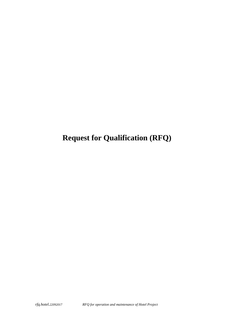**Request for Qualification (RFQ)**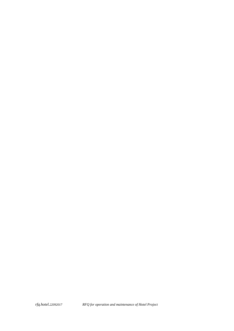*rfq.hotel.22092017 RFQ for operation and maintenance of Hotel Project*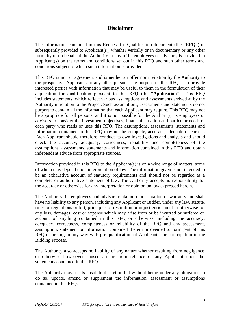# **Disclaimer**

The information contained in this Request for Qualification document (the "**RFQ**") or subsequently provided to Applicant(s), whether verbally or in documentary or any other form, by or on behalf of the Authority or any of its employees or advisors, is provided to Applicant(s) on the terms and conditions set out in this RFQ and such other terms and conditions subject to which such information is provided.

This RFQ is not an agreement and is neither an offer nor invitation by the Authority to the prospective Applicants or any other person. The purpose of this RFQ is to provide interested parties with information that may be useful to them in the formulation of their application for qualification pursuant to this RFQ (the "**Application**"). This RFQ includes statements, which reflect various assumptions and assessments arrived at by the Authority in relation to the Project. Such assumptions, assessments and statements do not purport to contain all the information that each Applicant may require. This RFQ may not be appropriate for all persons, and it is not possible for the Authority, its employees or advisors to consider the investment objectives, financial situation and particular needs of each party who reads or uses this RFQ. The assumptions, assessments, statements and information contained in this RFQ may not be complete, accurate, adequate or correct. Each Applicant should therefore, conduct its own investigations and analysis and should check the accuracy, adequacy, correctness, reliability and completeness of the assumptions, assessments, statements and information contained in this RFQ and obtain independent advice from appropriate sources.

Information provided in this RFQ to the Applicant(s) is on a wide range of matters, some of which may depend upon interpretation of law. The information given is not intended to be an exhaustive account of statutory requirements and should not be regarded as a complete or authoritative statement of law. The Authority accepts no responsibility for the accuracy or otherwise for any interpretation or opinion on law expressed herein.

The Authority, its employees and advisors make no representation or warranty and shall have no liability to any person, including any Applicant or Bidder, under any law, statute, rules or regulations or tort, principles of restitution or unjust enrichment or otherwise for any loss, damages, cost or expense which may arise from or be incurred or suffered on account of anything contained in this RFQ or otherwise, including the accuracy, adequacy, correctness, completeness or reliability of the RFQ and any assessment, assumption, statement or information contained therein or deemed to form part of this RFQ or arising in any way with pre-qualification of Applicants for participation in the Bidding Process.

The Authority also accepts no liability of any nature whether resulting from negligence or otherwise howsoever caused arising from reliance of any Applicant upon the statements contained in this RFQ.

The Authority may, in its absolute discretion but without being under any obligation to do so, update, amend or supplement the information, assessment or assumptions contained in this RFQ.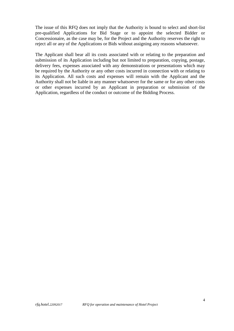The issue of this RFQ does not imply that the Authority is bound to select and short-list pre-qualified Applications for Bid Stage or to appoint the selected Bidder or Concessionaire, as the case may be, for the Project and the Authority reserves the right to reject all or any of the Applications or Bids without assigning any reasons whatsoever.

The Applicant shall bear all its costs associated with or relating to the preparation and submission of its Application including but not limited to preparation, copying, postage, delivery fees, expenses associated with any demonstrations or presentations which may be required by the Authority or any other costs incurred in connection with or relating to its Application. All such costs and expenses will remain with the Applicant and the Authority shall not be liable in any manner whatsoever for the same or for any other costs or other expenses incurred by an Applicant in preparation or submission of the Application, regardless of the conduct or outcome of the Bidding Process.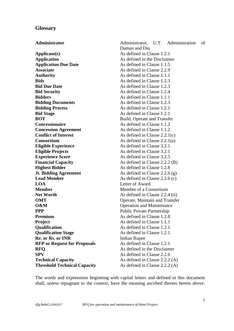#### **Glossary**

**Applicant(s)** As defined in Clause 1.2.1 **Application** As defined in the Disclaimer **Application Due Date** As defined in Clause 1.1.5 Associate Associate As defined in Clause 2.2.9 **Authority** As defined in Clause 1.1.1 **Bids Bids As defined in Clause 1.2.3 Bid Due Date** As defined in Clause 1.2.3 **Bid Security As defined in Clause 1.2.4 Bidders** As defined in Clause 1.1.1 **Bidding Documents** As defined in Clause 1.2.3 **Bidding Process** As defined in Clause 1.2.1 **Bid Stage** As defined in Clause 1.2.1 **BOT** Build, Operate and Transfer **Concessionaire** As defined in Clause 1.1.2 **Concession Agreement** As defined in Clause 1.1.2 **Conflict of Interest** As defined in Clause 2.2.1(c) **Consortium** As defined in Clause 2.2.1(a) **Eligible Experience** As defined in Clause 3.2.1 **Eligible Projects** As defined in Clause 3.2.1 **Experience Score** As defined in Clause 3.2.5 **Financial Capacity** As defined in Clause 2.2.2 (B) **Highest Bidder** As defined in Clause 1.2.8 **Jt. Bidding Agreement** As defined in Clause 2.2.6 (g) **Lead Member** As defined in Clause 2.2.6 (c) **LOA** Letter of Award **Member** Member of a Consortium **Net Worth** As defined in Clause 2.2.4 (ii) **OMT** Operate, Maintain and Transfer **O&M** Operation and Maintenance **PPP** Public Private Partnership **Premium** As defined in Clause 1.2.8 **Project** As defined in Clause 1.1.1 **Qualification** As defined in Clause 1.2.1 **Qualification Stage** As defined in Clause 1.2.1 **Re. or Rs. or INR** Indian Rupee **RFP or Request for Proposals** As defined in Clause 1.2.1 **RFO** As defined in the Disclaimer **SPV** As defined in Clause 2.2.6 **Technical Capacity** As defined in Clause 2.2.2 (A) **Threshold Technical Capacity** As defined in Clause 2.2.2 (A)

Administrator **Administrator** Administrator, U.T. Administration of Daman and Diu

The words and expressions beginning with capital letters and defined in this document shall, unless repugnant to the context, have the meaning ascribed thereto herein above.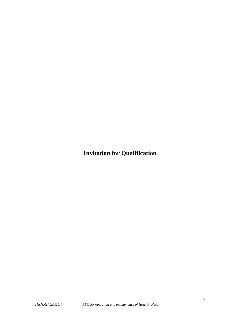**Invitation for Qualification**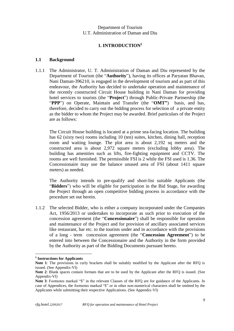Department of Tourism U.T. Administration of Daman and Diu

#### **1. INTRODUCTION**\$

#### **1.1 Background**

1.1.1 The Administrator, U. T. Administration of Daman and Diu represented by the Department of Tourism (the "**Authority**"), having its offices at Paryatan Bhavan, Nani Daman-396210, is engaged in the development of tourism and as part of this endeavour, the Authority has decided to undertake operation and maintenance of the recently constructed Circuit House building in Nani Daman for providing hotel services to tourists (the "**Project**") through Public-Private Partnership (the "**PPP**") on Operate, Maintain and Transfer (the "**OMT"**) basis, and has, therefore, decided to carry out the bidding process for selection of a private entity as the bidder to whom the Project may be awarded. Brief particulars of the Project are as follows:

The Circuit House building is located at a prime sea-facing location. The building has 62 (sixty two) rooms including 10 (ten) suites, kitchen, dining hall, reception room and waiting lounge. The plot area is about 2,192 sq meters and the constructed area is about 2,972 square meters (excluding lobby area). The building has amenities such as lifts, fire-fighting equipment and CCTV. The rooms are well furnished. The permissible FSI is 2 while the FSI used is 1.36. The Concessionaire may use the balance unused area of FSI (about 1411 square meters) as needed.

The Authority intends to pre-qualify and short-list suitable Applicants (the "**Bidders**") who will be eligible for participation in the Bid Stage, for awarding the Project through an open competitive bidding process in accordance with the procedure set out herein.

1.1.2 The selected Bidder, who is either a company incorporated under the Companies Act, 1956/2013 or undertakes to incorporate as such prior to execution of the concession agreement (the "**Concessionaire**") shall be responsible for operation and maintenance of the Project and for provision of ancillary associated services like restaurant, bar etc. to the tourists under and in accordance with the provisions of a long - term concession agreement (the "**Concession Agreement**") to be entered into between the Concessionaire and the Authority in the form provided by the Authority as part of the Bidding Documents pursuant hereto.

 $\overline{a}$ 

<sup>\$</sup> **Instructions for Applicants**

**Note 1**: The provisions in curly brackets shall be suitably modified by the Applicant after the RFQ is issued. (See Appendix-VI)

**Note 2**: Blank spaces contain formats that are to be used by the Applicant after the RFQ is issued. (See Appendix-VI)

**Note 3**: Footnotes marked "\$" in the relevant Clauses of the RFQ are for guidance of the Applicants. In case of Appendices, the footnotes marked "\$" or in other non-numerical characters shall be omitted by the Applicants while submitting their respective Applications. (See Appendix-VI)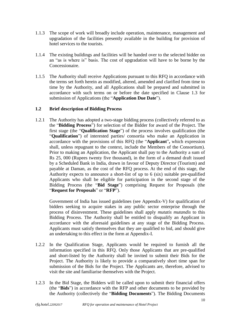- 1.1.3 The scope of work will broadly include operation, maintenance, management and upgradation of the facilities presently available in the building for provision of hotel services to the tourists.
- 1.1.4 The existing buildings and facilities will be handed over to the selected bidder on an "as is where is" basis. The cost of upgradation will have to be borne by the Concessionaire.
- 1.1.5 The Authority shall receive Applications pursuant to this RFQ in accordance with the terms set forth herein as modified, altered, amended and clarified from time to time by the Authority, and all Applications shall be prepared and submitted in accordance with such terms on or before the date specified in Clause 1.3 for submission of Applications (the "**Application Due Date**").

# **1.2 Brief description of Bidding Process**

1.2.1 The Authority has adopted a two-stage bidding process (collectively referred to as the "**Bidding Process**") for selection of the Bidder for award of the Project. The first stage (the "**Qualification Stage**") of the process involves qualification (the "**Qualification**") of interested parties/ consortia who make an Application in accordance with the provisions of this RFQ (the "**Applicant**"**,** which expression shall, unless repugnant to the context, include the Members of the Consortium). Prior to making an Application, the Applicant shall pay to the Authority a sum of Rs 25, 000 (Rupees twenty five thousand), in the form of a demand draft issued by a Scheduled Bank in India, drawn in favour of Deputy Director (Tourism) and payable at Daman, as the cost of the RFQ process. At the end of this stage, the Authority expects to announce a short-list of up to 6 (six) suitable pre-qualified Applicants who shall be eligible for participation in the second stage of the Bidding Process (the "**Bid Stage**") comprising Request for Proposals (the "**Request for Proposals**" or "**RFP**").

Government of India has issued guidelines (see Appendix-V) for qualification of bidders seeking to acquire stakes in any public sector enterprise through the process of disinvestment. These guidelines shall apply *mutatis mutandis* to this Bidding Process. The Authority shall be entitled to disqualify an Applicant in accordance with the aforesaid guidelines at any stage of the Bidding Process. Applicants must satisfy themselves that they are qualified to bid, and should give an undertaking to this effect in the form at Appendix-I.

- 1.2.2 In the Qualification Stage, Applicants would be required to furnish all the information specified in this RFQ. Only those Applicants that are pre-qualified and short-listed by the Authority shall be invited to submit their Bids for the Project. The Authority is likely to provide a comparatively short time span for submission of the Bids for the Project. The Applicants are, therefore, advised to visit the site and familiarise themselves with the Project.
- 1.2.3 In the Bid Stage, the Bidders will be called upon to submit their financial offers (the "**Bids**") in accordance with the RFP and other documents to be provided by the Authority (collectively the "**Bidding Documents**"). The Bidding Documents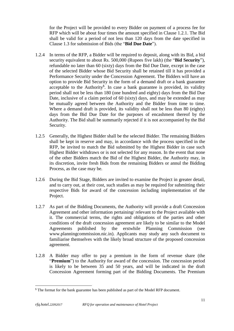for the Project will be provided to every Bidder on payment of a process fee for RFP which will be about four times the amount specified in Clause 1.2.1. The Bid shall be valid for a period of not less than 120 days from the date specified in Clause 1.3 for submission of Bids (the "**Bid Due Date**").

- 1.2.4 In terms of the RFP, a Bidder will be required to deposit, along with its Bid, a bid security equivalent to about Rs. 500,000 (Rupees five lakh) (the "**Bid Security**"), refundable no later than 60 (sixty) days from the Bid Due Date, except in the case of the selected Bidder whose Bid Security shall be retained till it has provided a Performance Security under the Concession Agreement. The Bidders will have an option to provide Bid Security in the form of a demand draft or a bank guarantee acceptable to the Authority<sup>§</sup>. In case a bank guarantee is provided, its validity period shall not be less than 180 (one hundred and eighty) days from the Bid Due Date, inclusive of a claim period of 60 (sixty) days, and may be extended as may be mutually agreed between the Authority and the Bidder from time to time. Where a demand draft is provided, its validity shall not be less than 80 (eighty) days from the Bid Due Date for the purposes of encashment thereof by the Authority. The Bid shall be summarily rejected if it is not accompanied by the Bid Security.
- 1.2.5 Generally, the Highest Bidder shall be the selected Bidder. The remaining Bidders shall be kept in reserve and may, in accordance with the process specified in the RFP, be invited to match the Bid submitted by the Highest Bidder in case such Highest Bidder withdraws or is not selected for any reason. In the event that none of the other Bidders match the Bid of the Highest Bidder, the Authority may, in its discretion, invite fresh Bids from the remaining Bidders or annul the Bidding Process, as the case may be.
- 1.2.6 During the Bid Stage, Bidders are invited to examine the Project in greater detail, and to carry out, at their cost, such studies as may be required for submitting their respective Bids for award of the concession including implementation of the Project.
- 1.2.7 As part of the Bidding Documents, the Authority will provide a draft Concession Agreement and other information pertaining/ relevant to the Project available with it. The commercial terms, the rights and obligations of the parties and other conditions of the draft concession agreement are likely to be similar to the Model Agreements published by the erstwhile Planning Commission (see www.planningcommission.nic.in). Applicants may study any such document to familiarise themselves with the likely broad structure of the proposed concession agreement.
- 1.2.8 A Bidder may offer to pay a premium in the form of revenue share (the "**Premium**") to the Authority for award of the concession. The concession period is likely to be between 35 and 50 years, and will be indicated in the draft Concession Agreement forming part of the Bidding Documents. The Premium

 $\overline{a}$ 

<sup>\$</sup> The format for the bank guarantee has been published as part of the Model RFP document.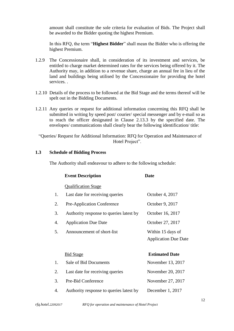amount shall constitute the sole criteria for evaluation of Bids. The Project shall be awarded to the Bidder quoting the highest Premium.

In this RFQ, the term "**Highest Bidder**" shall mean the Bidder who is offering the highest Premium.

- 1.2.9 The Concessionaire shall, in consideration of its investment and services, be entitled to charge market determined rates for the services being offered by it. The Authority may, in addition to a revenue share, charge an annual fee in lieu of the land and buildings being utilised by the Concessionaire for providing the hotel services. .
- 1.2.10 Details of the process to be followed at the Bid Stage and the terms thereof will be spelt out in the Bidding Documents.
- 1.2.11 Any queries or request for additional information concerning this RFQ shall be submitted in writing by speed post/ courier/ special messenger and by e-mail so as to reach the officer designated in Clause 2.13.3 by the specified date. The envelopes/ communications shall clearly bear the following identification/ title:

"Queries/ Request for Additional Information: RFQ for Operation and Maintenance of Hotel Project".

#### **1.3 Schedule of Bidding Process**

The Authority shall endeavour to adhere to the following schedule:

|    | <b>Event Description</b>                | <b>Date</b>                                      |
|----|-----------------------------------------|--------------------------------------------------|
|    | <b>Qualification Stage</b>              |                                                  |
| 1. | Last date for receiving queries         | October 4, 2017                                  |
| 2. | Pre-Application Conference              | October 9, 2017                                  |
| 3. | Authority response to queries latest by | October 16, 2017                                 |
| 4. | <b>Application Due Date</b>             | October 27, 2017                                 |
| 5. | Announcement of short-list              | Within 15 days of<br><b>Application Due Date</b> |
|    | <b>Bid Stage</b>                        | <b>Estimated Date</b>                            |
| 1. | <b>Sale of Bid Documents</b>            | November 13, 2017                                |
| 2. | Last date for receiving queries         | November 20, 2017                                |
| 3. | Pre-Bid Conference                      | November 27, 2017                                |
| 4. | Authority response to queries latest by | December 1, 2017                                 |

*rfq.hotel.22092017 RFQ for operation and maintenance of Hotel Project*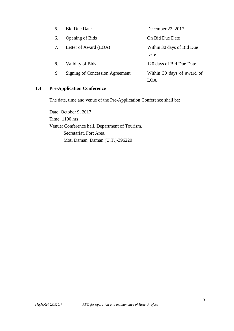| 5. | <b>Bid Due Date</b>             | December 22, 2017                 |
|----|---------------------------------|-----------------------------------|
| 6. | <b>Opening of Bids</b>          | On Bid Due Date                   |
| 7. | Letter of Award (LOA)           | Within 30 days of Bid Due<br>Date |
| 8. | Validity of Bids                | 120 days of Bid Due Date          |
| 9  | Signing of Concession Agreement | Within 30 days of award of        |

# **1.4 Pre-Application Conference**

The date, time and venue of the Pre-Application Conference shall be:

Date: October 9, 2017 Time: 1100 hrs Venue: Conference hall, Department of Tourism, Secretariat, Fort Area, Moti Daman, Daman (U.T.)-396220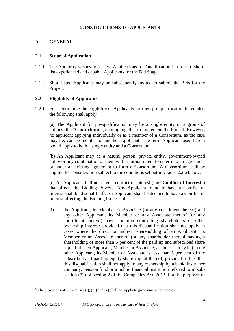# **2. INSTRUCTIONS TO APPLICANTS**

# **A. GENERAL**

#### **2.1 Scope of Application**

- 2.1.1 The Authority wishes to receive Applications for Qualification in order to shortlist experienced and capable Applicants for the Bid Stage.
- 2.1.2 Short-listed Applicants may be subsequently invited to submit the Bids for the Project.

# **2.2 Eligibility of Applicants**

2.2.1 For determining the eligibility of Applicants for their pre-qualification hereunder, the following shall apply:

(a) The Applicant for pre-qualification may be a single entity or a group of entities (the "**Consortium**"), coming together to implement the Project. However, no applicant applying individually or as a member of a Consortium, as the case may be, can be member of another Applicant. The term Applicant used herein would apply to both a single entity and a Consortium.

(b) An Applicant may be a natural person, private entity, government-owned entity or any combination of them with a formal intent to enter into an agreement or under an existing agreement to form a Consortium. A Consortium shall be eligible for consideration subject to the conditions set out in Clause 2.2.6 below.

(c) An Applicant shall not have a conflict of interest (the "**Conflict of Interest**") that affects the Bidding Process. Any Applicant found to have a Conflict of Interest shall be disqualified<sup>§</sup>. An Applicant shall be deemed to have a Conflict of Interest affecting the Bidding Process, if:

(i) the Applicant, its Member or Associate (or any constituent thereof) and any other Applicant, its Member or any Associate thereof (or any constituent thereof) have common controlling shareholders or other ownership interest; provided that this disqualification shall not apply in cases where the direct or indirect shareholding of an Applicant, its Member or an Associate thereof (or any shareholder thereof having a shareholding of more than 5 per cent of the paid up and subscribed share capital of such Applicant, Member or Associate, as the case may be) in the other Applicant, its Member or Associate is less than 5 per cent of the subscribed and paid up equity share capital thereof; provided further that this disqualification shall not apply to any ownership by a bank, insurance company, pension fund or a public financial institution referred to in subsection (72) of section 2 of the Companies Act, 2013. For the purposes of

 $\overline{a}$ 

 $$$  The provisions of sub-clauses (i), (iii) and (v) shall not apply to government companies.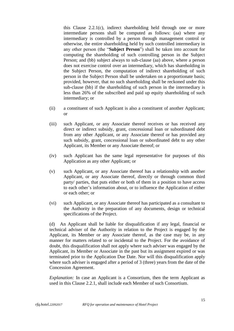this Clause 2.2.1(c), indirect shareholding held through one or more intermediate persons shall be computed as follows: (aa) where any intermediary is controlled by a person through management control or otherwise, the entire shareholding held by such controlled intermediary in any other person (the "**Subject Person**") shall be taken into account for computing the shareholding of such controlling person in the Subject Person; and (bb) subject always to sub-clause (aa) above, where a person does not exercise control over an intermediary, which has shareholding in the Subject Person, the computation of indirect shareholding of such person in the Subject Person shall be undertaken on a proportionate basis; provided, however, that no such shareholding shall be reckoned under this sub-clause (bb) if the shareholding of such person in the intermediary is less than 26% of the subscribed and paid up equity shareholding of such intermediary; or

- (ii) a constituent of such Applicant is also a constituent of another Applicant; or
- (iii) such Applicant, or any Associate thereof receives or has received any direct or indirect subsidy, grant, concessional loan or subordinated debt from any other Applicant, or any Associate thereof or has provided any such subsidy, grant, concessional loan or subordinated debt to any other Applicant, its Member or any Associate thereof; or
- (iv) such Applicant has the same legal representative for purposes of this Application as any other Applicant; or
- (v) such Applicant, or any Associate thereof has a relationship with another Applicant, or any Associate thereof, directly or through common third party/ parties, that puts either or both of them in a position to have access to each other's information about, or to influence the Application of either or each other; or
- (vi) such Applicant, or any Associate thereof has participated as a consultant to the Authority in the preparation of any documents, design or technical specifications of the Project.

(d) An Applicant shall be liable for disqualification if any legal, financial or technical adviser of the Authority in relation to the Project is engaged by the Applicant, its Member or any Associate thereof, as the case may be, in any manner for matters related to or incidental to the Project. For the avoidance of doubt, this disqualification shall not apply where such adviser was engaged by the Applicant, its Member or Associate in the past but its assignment expired or was terminated prior to the Application Due Date. Nor will this disqualification apply where such adviser is engaged after a period of 3 (three) years from the date of the Concession Agreement.

*Explanation:* In case an Applicant is a Consortium, then the term Applicant as used in this Clause 2.2.1, shall include each Member of such Consortium.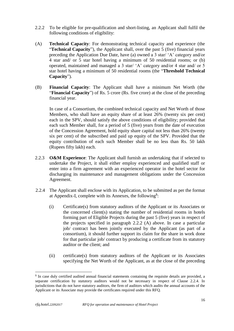- 2.2.2 To be eligible for pre-qualification and short-listing, an Applicant shall fulfil the following conditions of eligibility:
- (A) **Technical Capacity**: For demonstrating technical capacity and experience (the "**Technical Capacity**"), the Applicant shall, over the past 5 (five) financial years preceding the Application Due Date, have (a) owned a 3 star/ 'A' category and/or 4 star and/ or  $\overline{5}$  star hotel having a minimum of 50 residential rooms; or (b) operated, maintained and managed a 3 star/ 'A' category and/or 4 star and/ or 5 star hotel having a minimum of 50 residential rooms (the "**Threshold Technical Capacity**").
- (B) **Financial Capacity**: The Applicant shall have a minimum Net Worth (the "**Financial Capacity**") of Rs. 5 crore (Rs. five crore) at the close of the preceding financial year.

In case of a Consortium, the combined technical capacity and Net Worth of those Members, who shall have an equity share of at least 26% (twenty six per cent) each in the SPV, should satisfy the above conditions of eligibility; provided that each such Member shall, for a period of 5 (five) years from the date of execution of the Concession Agreement, hold equity share capital not less than 26% (twenty six per cent) of the subscribed and paid up equity of the SPV. Provided that the equity contribution of each such Member shall be no less than Rs. 50 lakh (Rupees fifty lakh) each.

- 2.2.3 **O&M Experience**: The Applicant shall furnish an undertaking that if selected to undertake the Project, it shall either employ experienced and qualified staff or enter into a firm agreement with an experienced operator in the hotel sector for discharging its maintenance and management obligations under the Concession Agreement.
- 2.2.4 The Applicant shall enclose with its Application, to be submitted as per the format at Appendix-I, complete with its Annexes, the following<sup>§</sup>:
	- (i) Certificate(s) from statutory auditors of the Applicant or its Associates or the concerned client(s) stating the number of residential rooms in hotels forming part of Eligible Projects during the past 5 (five) years in respect of the projects specified in paragraph 2.2.2 (A) above. In case a particular job/ contract has been jointly executed by the Applicant (as part of a consortium), it should further support its claim for the share in work done for that particular job/ contract by producing a certificate from its statutory auditor or the client; and
	- (ii) certificate(s) from statutory auditors of the Applicant or its Associates specifying the Net Worth of the Applicant, as at the close of the preceding

 $\overline{a}$ 

<sup>&</sup>lt;sup>§</sup> In case duly certified audited annual financial statements containing the requisite details are provided, a separate certification by statutory auditors would not be necessary in respect of Clause 2.2.4. In jurisdictions that do not have statutory auditors, the firm of auditors which audits the annual accounts of the Applicant or its Associate may provide the certificates required under this RFQ.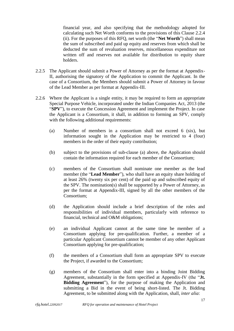financial year, and also specifying that the methodology adopted for calculating such Net Worth conforms to the provisions of this Clause 2.2.4 (ii). For the purposes of this RFQ, net worth (the "**Net Worth**") shall mean the sum of subscribed and paid up equity and reserves from which shall be deducted the sum of revaluation reserves, miscellaneous expenditure not written off and reserves not available for distribution to equity share holders.

- 2.2.5 The Applicant should submit a Power of Attorney as per the format at Appendix-II, authorising the signatory of the Application to commit the Applicant. In the case of a Consortium, the Members should submit a Power of Attorney in favour of the Lead Member as per format at Appendix-III.
- 2.2.6 Where the Applicant is a single entity, it may be required to form an appropriate Special Purpose Vehicle, incorporated under the Indian Companies Act, 2013 (the "**SPV**"), to execute the Concession Agreement and implement the Project. In case the Applicant is a Consortium, it shall, in addition to forming an SPV, comply with the following additional requirements:
	- (a) Number of members in a consortium shall not exceed 6 (six), but information sought in the Application may be restricted to 4 (four) members in the order of their equity contribution;
	- (b) subject to the provisions of sub-clause (a) above, the Application should contain the information required for each member of the Consortium;
	- (c) members of the Consortium shall nominate one member as the lead member (the "**Lead Member**"), who shall have an equity share holding of at least 26% (twenty six per cent) of the paid up and subscribed equity of the SPV. The nomination(s) shall be supported by a Power of Attorney, as per the format at Appendix-III, signed by all the other members of the Consortium;
	- (d) the Application should include a brief description of the roles and responsibilities of individual members, particularly with reference to financial, technical and O&M obligations;
	- (e) an individual Applicant cannot at the same time be member of a Consortium applying for pre-qualification. Further, a member of a particular Applicant Consortium cannot be member of any other Applicant Consortium applying for pre-qualification;
	- (f) the members of a Consortium shall form an appropriate SPV to execute the Project, if awarded to the Consortium;
	- (g) members of the Consortium shall enter into a binding Joint Bidding Agreement, substantially in the form specified at Appendix-IV (the "**Jt. Bidding Agreement**"), for the purpose of making the Application and submitting a Bid in the event of being short-listed. The Jt. Bidding Agreement, to be submitted along with the Application, shall, *inter alia*: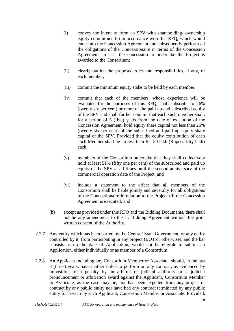- (i) convey the intent to form an SPV with shareholding/ ownership equity commitment(s) in accordance with this RFO, which would enter into the Concession Agreement and subsequently perform all the obligations of the Concessionaire in terms of the Concession Agreement, in case the concession to undertake the Project is awarded to the Consortium;
- (ii) clearly outline the proposed roles and responsibilities, if any, of each member;
- (iii) commit the minimum equity stake to be held by each member;
- (iv) commit that each of the members, whose experience will be evaluated for the purposes of this RFQ, shall subscribe to 26% (twenty six per cent) or more of the paid up and subscribed equity of the SPV and shall further commit that each such member shall, for a period of 5 (five) years from the date of execution of the Concession Agreement, hold equity share capital not less than 26% (twenty six per cent) of the subscribed and paid up equity share capital of the SPV. Provided that the equity contribution of each such Member shall be no less than Rs. 50 lakh (Rupees fifty lakh) each;
- (v) members of the Consortium undertake that they shall collectively hold at least 51% (fifty one per cent) of the subscribed and paid up equity of the SPV at all times until the second anniversary of the commercial operation date of the Project; and
- (vi) include a statement to the effect that all members of the Consortium shall be liable jointly and severally for all obligations of the Concessionaire in relation to the Project till the Concession Agreement is executed; and
- (h) except as provided under this RFQ and the Bidding Documents, there shall not be any amendment to the Jt. Bidding Agreement without the prior written consent of the Authority.
- 2.2.7 Any entity which has been barred by the Central/ State Government, or any entity controlled by it, from participating in any project (BOT or otherwise), and the bar subsists as on the date of Application, would not be eligible to submit an Application, either individually or as member of a Consortium.
- 2.2.8 An Applicant including any Consortium Member or Associate should, in the last 3 (three) years, have neither failed to perform on any contract, as evidenced by imposition of a penalty by an arbitral or judicial authority or a judicial pronouncement or arbitration award against the Applicant, Consortium Member or Associate, as the case may be, nor has been expelled from any project or contract by any public entity nor have had any contract terminated by any public entity for breach by such Applicant, Consortium Member or Associate. Provided,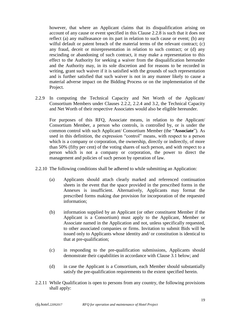however, that where an Applicant claims that its disqualification arising on account of any cause or event specified in this Clause 2.2.8 is such that it does not reflect (a) any malfeasance on its part in relation to such cause or event; (b) any wilful default or patent breach of the material terms of the relevant contract; (c) any fraud, deceit or misrepresentation in relation to such contract; or (d) any rescinding or abandoning of such contract, it may make a representation to this effect to the Authority for seeking a waiver from the disqualification hereunder and the Authority may, in its sole discretion and for reasons to be recorded in writing, grant such waiver if it is satisfied with the grounds of such representation and is further satisfied that such waiver is not in any manner likely to cause a material adverse impact on the Bidding Process or on the implementation of the Project.

2.2.9 In computing the Technical Capacity and Net Worth of the Applicant/ Consortium Members under Clauses 2.2.2, 2.2.4 and 3.2, the Technical Capacity and Net Worth of their respective Associates would also be eligible hereunder.

For purposes of this RFQ, Associate means, in relation to the Applicant/ Consortium Member, a person who controls, is controlled by, or is under the common control with such Applicant/ Consortium Member (the "**Associate**"). As used in this definition, the expression "control" means, with respect to a person which is a company or corporation, the ownership, directly or indirectly, of more than 50% (fifty per cent) of the voting shares of such person, and with respect to a person which is not a company or corporation, the power to direct the management and policies of such person by operation of law.

- 2.2.10 The following conditions shall be adhered to while submitting an Application:
	- (a) Applicants should attach clearly marked and referenced continuation sheets in the event that the space provided in the prescribed forms in the Annexes is insufficient. Alternatively, Applicants may format the prescribed forms making due provision for incorporation of the requested information;
	- (b) information supplied by an Applicant (or other constituent Member if the Applicant is a Consortium) must apply to the Applicant, Member or Associate named in the Application and not, unless specifically requested, to other associated companies or firms. Invitation to submit Bids will be issued only to Applicants whose identity and/ or constitution is identical to that at pre-qualification;
	- (c) in responding to the pre-qualification submissions, Applicants should demonstrate their capabilities in accordance with Clause 3.1 below; and
	- (d) in case the Applicant is a Consortium, each Member should substantially satisfy the pre-qualification requirements to the extent specified herein.
- 2.2.11 While Qualification is open to persons from any country, the following provisions shall apply: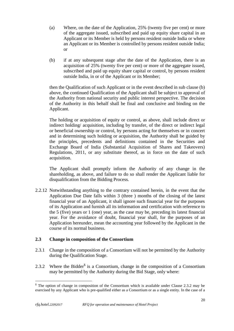- (a) Where, on the date of the Application, 25% (twenty five per cent) or more of the aggregate issued, subscribed and paid up equity share capital in an Applicant or its Member is held by persons resident outside India or where an Applicant or its Member is controlled by persons resident outside India; or
- (b) if at any subsequent stage after the date of the Application, there is an acquisition of 25% (twenty five per cent) or more of the aggregate issued, subscribed and paid up equity share capital or control, by persons resident outside India, in or of the Applicant or its Member;

then the Qualification of such Applicant or in the event described in sub clause (b) above, the continued Qualification of the Applicant shall be subject to approval of the Authority from national security and public interest perspective. The decision of the Authority in this behalf shall be final and conclusive and binding on the Applicant.

The holding or acquisition of equity or control, as above, shall include direct or indirect holding/ acquisition, including by transfer, of the direct or indirect legal or beneficial ownership or control, by persons acting for themselves or in concert and in determining such holding or acquisition, the Authority shall be guided by the principles, precedents and definitions contained in the Securities and Exchange Board of India (Substantial Acquisition of Shares and Takeovers) Regulations, 2011, or any substitute thereof, as in force on the date of such acquisition.

The Applicant shall promptly inform the Authority of any change in the shareholding, as above, and failure to do so shall render the Applicant liable for disqualification from the Bidding Process.

2.2.12 Notwithstanding anything to the contrary contained herein, in the event that the Application Due Date falls within 3 (three ) months of the closing of the latest financial year of an Applicant, it shall ignore such financial year for the purposes of its Application and furnish all its information and certification with reference to the 5 (five) years or 1 (one) year, as the case may be, preceding its latest financial year. For the avoidance of doubt, financial year shall, for the purposes of an Application hereunder, mean the accounting year followed by the Applicant in the course of its normal business.

# **2.3 Change in composition of the Consortium**

- 2.3.1 Change in the composition of a Consortium will not be permitted by the Authority during the Qualification Stage.
- 2.3.2 Where the Bidder<sup>\$</sup> is a Consortium, change in the composition of a Consortium may be permitted by the Authority during the Bid Stage, only where:

 $\overline{a}$ \$ The option of change in composition of the Consortium which is available under Clause 2.3.2 may be exercised by any Applicant who is pre-qualified either as a Consortium or as a single entity. In the case of a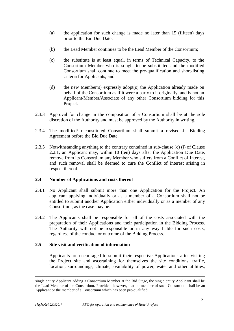- (a) the application for such change is made no later than 15 (fifteen) days prior to the Bid Due Date;
- (b) the Lead Member continues to be the Lead Member of the Consortium;
- (c) the substitute is at least equal, in terms of Technical Capacity, to the Consortium Member who is sought to be substituted and the modified Consortium shall continue to meet the pre-qualification and short-listing criteria for Applicants; and
- (d) the new Member(s) expressly adopt(s) the Application already made on behalf of the Consortium as if it were a party to it originally, and is not an Applicant/Member/Associate of any other Consortium bidding for this Project.
- 2.3.3 Approval for change in the composition of a Consortium shall be at the sole discretion of the Authority and must be approved by the Authority in writing.
- 2.3.4 The modified/ reconstituted Consortium shall submit a revised Jt. Bidding Agreement before the Bid Due Date.
- 2.3.5 Notwithstanding anything to the contrary contained in sub-clause (c) (i) of Clause 2.2.1, an Applicant may, within 10 (ten) days after the Application Due Date, remove from its Consortium any Member who suffers from a Conflict of Interest, and such removal shall be deemed to cure the Conflict of Interest arising in respect thereof.

# **2.4 Number of Applications and costs thereof**

- 2.4.1 No Applicant shall submit more than one Application for the Project. An applicant applying individually or as a member of a Consortium shall not be entitled to submit another Application either individually or as a member of any Consortium, as the case may be.
- 2.4.2 The Applicants shall be responsible for all of the costs associated with the preparation of their Applications and their participation in the Bidding Process. The Authority will not be responsible or in any way liable for such costs, regardless of the conduct or outcome of the Bidding Process.

# **2.5 Site visit and verification of information**

Applicants are encouraged to submit their respective Applications after visiting the Project site and ascertaining for themselves the site conditions, traffic, location, surroundings, climate, availability of power, water and other utilities,

<u>.</u>

single entity Applicant adding a Consortium Member at the Bid Stage, the single entity Applicant shall be the Lead Member of the Consortium. Provided, however, that no member of such Consortium shall be an Applicant or the member of a Consortium which has been pre-qualified.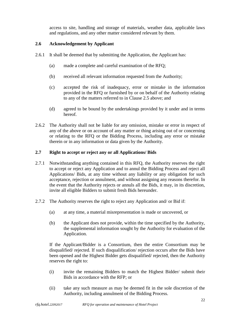access to site, handling and storage of materials, weather data, applicable laws and regulations, and any other matter considered relevant by them.

# **2.6 Acknowledgement by Applicant**

- 2.6.1 It shall be deemed that by submitting the Application, the Applicant has:
	- (a) made a complete and careful examination of the RFQ;
	- (b) received all relevant information requested from the Authority;
	- (c) accepted the risk of inadequacy, error or mistake in the information provided in the RFQ or furnished by or on behalf of the Authority relating to any of the matters referred to in Clause 2.5 above; and
	- (d) agreed to be bound by the undertakings provided by it under and in terms hereof.
- 2.6.2 The Authority shall not be liable for any omission, mistake or error in respect of any of the above or on account of any matter or thing arising out of or concerning or relating to the RFQ or the Bidding Process, including any error or mistake therein or in any information or data given by the Authority.

#### **2.7 Right to accept or reject any or all Applications/ Bids**

- 2.7.1 Notwithstanding anything contained in this RFQ, the Authority reserves the right to accept or reject any Application and to annul the Bidding Process and reject all Applications/ Bids, at any time without any liability or any obligation for such acceptance, rejection or annulment, and without assigning any reasons therefor. In the event that the Authority rejects or annuls all the Bids, it may, in its discretion, invite all eligible Bidders to submit fresh Bids hereunder.
- 2.7.2 The Authority reserves the right to reject any Application and/ or Bid if:
	- (a) at any time, a material misrepresentation is made or uncovered, or
	- (b) the Applicant does not provide, within the time specified by the Authority, the supplemental information sought by the Authority for evaluation of the Application.

If the Applicant/Bidder is a Consortium, then the entire Consortium may be disqualified/ rejected. If such disqualification/ rejection occurs after the Bids have been opened and the Highest Bidder gets disqualified/ rejected, then the Authority reserves the right to:

- (i) invite the remaining Bidders to match the Highest Bidder/ submit their Bids in accordance with the RFP; or
- (ii) take any such measure as may be deemed fit in the sole discretion of the Authority, including annulment of the Bidding Process.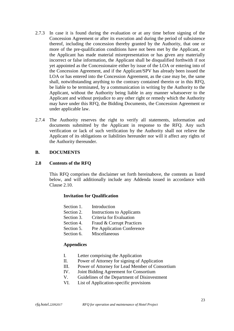- 2.7.3 In case it is found during the evaluation or at any time before signing of the Concession Agreement or after its execution and during the period of subsistence thereof, including the concession thereby granted by the Authority, that one or more of the pre-qualification conditions have not been met by the Applicant, or the Applicant has made material misrepresentation or has given any materially incorrect or false information, the Applicant shall be disqualified forthwith if not yet appointed as the Concessionaire either by issue of the LOA or entering into of the Concession Agreement, and if the Applicant/SPV has already been issued the LOA or has entered into the Concession Agreement, as the case may be, the same shall, notwithstanding anything to the contrary contained therein or in this RFQ, be liable to be terminated, by a communication in writing by the Authority to the Applicant, without the Authority being liable in any manner whatsoever to the Applicant and without prejudice to any other right or remedy which the Authority may have under this RFQ, the Bidding Documents, the Concession Agreement or under applicable law.
- 2.7.4 The Authority reserves the right to verify all statements, information and documents submitted by the Applicant in response to the RFQ. Any such verification or lack of such verification by the Authority shall not relieve the Applicant of its obligations or liabilities hereunder nor will it affect any rights of the Authority thereunder.

# **B. DOCUMENTS**

#### **2.8 Contents of the RFQ**

This RFQ comprises the disclaimer set forth hereinabove, the contents as listed below, and will additionally include any Addenda issued in accordance with Clause 2.10.

#### **Invitation for Qualification**

| Section 1. | Introduction                      |
|------------|-----------------------------------|
| Section 2. | <b>Instructions to Applicants</b> |
| Section 3. | Criteria for Evaluation           |
| Section 4. | Fraud & Corrupt Practices         |
| Section 5. | <b>Pre Application Conference</b> |
| Section 6. | Miscellaneous                     |
|            |                                   |

#### **Appendices**

- I. Letter comprising the Application
- II. Power of Attorney for signing of Application
- III. Power of Attorney for Lead Member of Consortium
- IV. Joint Bidding Agreement for Consortium
- V. Guidelines of the Department of Disinvestment
- VI. List of Application-specific provisions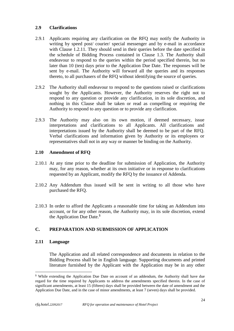# **2.9 Clarifications**

- 2.9.1 Applicants requiring any clarification on the RFQ may notify the Authority in writing by speed post/ courier/ special messenger and by e-mail in accordance with Clause 1.2.11. They should send in their queries before the date specified in the schedule of Bidding Process contained in Clause 1.3. The Authority shall endeavour to respond to the queries within the period specified therein, but no later than 10 (ten) days prior to the Application Due Date. The responses will be sent by e-mail. The Authority will forward all the queries and its responses thereto, to all purchasers of the RFQ without identifying the source of queries.
- 2.9.2 The Authority shall endeavour to respond to the questions raised or clarifications sought by the Applicants. However, the Authority reserves the right not to respond to any question or provide any clarification, in its sole discretion, and nothing in this Clause shall be taken or read as compelling or requiring the Authority to respond to any question or to provide any clarification.
- 2.9.3 The Authority may also on its own motion, if deemed necessary, issue interpretations and clarifications to all Applicants. All clarifications and interpretations issued by the Authority shall be deemed to be part of the RFQ. Verbal clarifications and information given by Authority or its employees or representatives shall not in any way or manner be binding on the Authority.

# **2.10 Amendment of RFQ**

- 2.10.1 At any time prior to the deadline for submission of Application, the Authority may, for any reason, whether at its own initiative or in response to clarifications requested by an Applicant, modify the RFQ by the issuance of Addenda.
- 2.10.2 Any Addendum thus issued will be sent in writing to all those who have purchased the RFQ.
- 2.10.3 In order to afford the Applicants a reasonable time for taking an Addendum into account, or for any other reason, the Authority may, in its sole discretion, extend the Application Due Date.\$

# **C. PREPARATION AND SUBMISSION OF APPLICATION**

# **2.11 Language**

The Application and all related correspondence and documents in relation to the Bidding Process shall be in English language. Supporting documents and printed literature furnished by the Applicant with the Application may be in any other

 $\overline{a}$ 

<sup>\$</sup> While extending the Application Due Date on account of an addendum, the Authority shall have due regard for the time required by Applicants to address the amendments specified therein. In the case of significant amendments, at least 15 (fifteen) days shall be provided between the date of amendment and the Application Due Date, and in the case of minor amendments, at least 7 (seven) days shall be provided.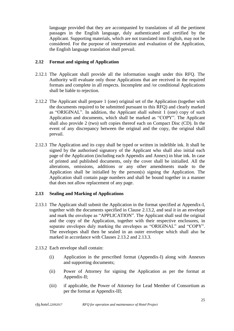language provided that they are accompanied by translations of all the pertinent passages in the English language, duly authenticated and certified by the Applicant. Supporting materials, which are not translated into English, may not be considered. For the purpose of interpretation and evaluation of the Application, the English language translation shall prevail.

# **2.12 Format and signing of Application**

- 2.12.1 The Applicant shall provide all the information sought under this RFQ. The Authority will evaluate only those Applications that are received in the required formats and complete in all respects. Incomplete and /or conditional Applications shall be liable to rejection.
- 2.12.2 The Applicant shall prepare 1 (one) original set of the Application (together with the documents required to be submitted pursuant to this RFQ) and clearly marked as "ORIGINAL". In addition, the Applicant shall submit 1 (one) copy of such Application and documents, which shall be marked as "COPY". The Applicant shall also provide 2 (two) soft copies thereof each on Compact Disc (CD). In the event of any discrepancy between the original and the copy, the original shall prevail.
- 2.12.3 The Application and its copy shall be typed or written in indelible ink. It shall be signed by the authorised signatory of the Applicant who shall also initial each page of the Application (including each Appendix and Annex) in blue ink. In case of printed and published documents, only the cover shall be initialled. All the alterations, omissions, additions or any other amendments made to the Application shall be initialled by the person(s) signing the Application. The Application shall contain page numbers and shall be bound together in a manner that does not allow replacement of any page.

# **2.13 Sealing and Marking of Applications**

- 2.13.1 The Applicant shall submit the Application in the format specified at Appendix-I, together with the documents specified in Clause 2.13.2, and seal it in an envelope and mark the envelope as "APPLICATION". The Applicant shall seal the original and the copy of the Application, together with their respective enclosures, in separate envelopes duly marking the envelopes as "ORIGINAL" and "COPY". The envelopes shall then be sealed in an outer envelope which shall also be marked in accordance with Clauses 2.13.2 and 2.13.3.
- 2.13.2 Each envelope shall contain:
	- (i) Application in the prescribed format (Appendix-I) along with Annexes and supporting documents;
	- (ii) Power of Attorney for signing the Application as per the format at Appendix-II;
	- (iii) if applicable, the Power of Attorney for Lead Member of Consortium as per the format at Appendix-III;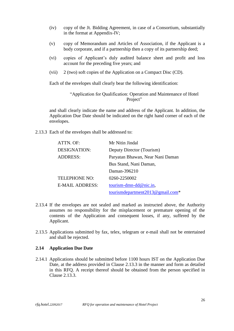- (iv) copy of the Jt. Bidding Agreement, in case of a Consortium, substantially in the format at Appendix-IV;
- (v) copy of Memorandum and Articles of Association, if the Applicant is a body corporate, and if a partnership then a copy of its partnership deed;
- (vi) copies of Applicant's duly audited balance sheet and profit and loss account for the preceding five years; and
- (vii) 2 (two) soft copies of the Application on a Compact Disc (CD).

Each of the envelopes shall clearly bear the following identification:

"Application for Qualification: Operation and Maintenance of Hotel Project"

and shall clearly indicate the name and address of the Applicant. In addition, the Application Due Date should be indicated on the right hand corner of each of the envelopes.

2.13.3 Each of the envelopes shall be addressed to:

| ATTN. OF:            | Mr Nitin Jindal                       |
|----------------------|---------------------------------------|
| <b>DESIGNATION:</b>  | Deputy Director (Tourism)             |
| <b>ADDRESS:</b>      | Paryatan Bhawan, Near Nani Daman      |
|                      | Bus Stand, Nani Daman,                |
|                      | Daman-396210                          |
| <b>TELEPHONE NO:</b> | 0260-2250002                          |
| E-MAIL ADDRESS:      | tourism-dmn-dd@nic.in,                |
|                      | tourism department $2013@$ gmail.com* |

- 2.13.4 If the envelopes are not sealed and marked as instructed above, the Authority assumes no responsibility for the misplacement or premature opening of the contents of the Application and consequent losses, if any, suffered by the Applicant.
- 2.13.5 Applications submitted by fax, telex, telegram or e-mail shall not be entertained and shall be rejected.

#### **2.14 Application Due Date**

2.14.1 Applications should be submitted before 1100 hours IST on the Application Due Date, at the address provided in Clause 2.13.3 in the manner and form as detailed in this RFQ. A receipt thereof should be obtained from the person specified in Clause 2.13.3.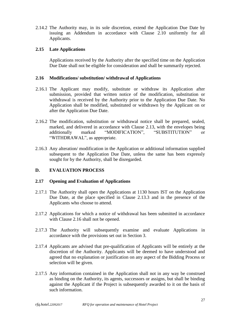2.14.2 The Authority may, in its sole discretion, extend the Application Due Date by issuing an Addendum in accordance with Clause 2.10 uniformly for all Applicants.

#### **2.15 Late Applications**

Applications received by the Authority after the specified time on the Application Due Date shall not be eligible for consideration and shall be summarily rejected.

#### **2.16 Modifications/ substitution/ withdrawal of Applications**

- 2.16.1 The Applicant may modify, substitute or withdraw its Application after submission, provided that written notice of the modification, substitution or withdrawal is received by the Authority prior to the Application Due Date. No Application shall be modified, substituted or withdrawn by the Applicant on or after the Application Due Date.
- 2.16.2 The modification, substitution or withdrawal notice shall be prepared, sealed, marked, and delivered in accordance with Clause 2.13, with the envelopes being<br>additionally marked "MODIFICATION". "SUBSTITUTION" or additionally marked "MODIFICATION", "SUBSTITUTION" or "WITHDRAWAL", as appropriate.
- 2.16.3 Any alteration/ modification in the Application or additional information supplied subsequent to the Application Due Date, unless the same has been expressly sought for by the Authority, shall be disregarded.

# **D. EVALUATION PROCESS**

# **2.17 Opening and Evaluation of Applications**

- 2.17.1 The Authority shall open the Applications at 1130 hours IST on the Application Due Date, at the place specified in Clause 2.13.3 and in the presence of the Applicants who choose to attend.
- 2.17.2 Applications for which a notice of withdrawal has been submitted in accordance with Clause 2.16 shall not be opened.
- 2.17.3 The Authority will subsequently examine and evaluate Applications in accordance with the provisions set out in Section 3.
- 2.17.4 Applicants are advised that pre-qualification of Applicants will be entirely at the discretion of the Authority. Applicants will be deemed to have understood and agreed that no explanation or justification on any aspect of the Bidding Process or selection will be given.
- 2.17.5 Any information contained in the Application shall not in any way be construed as binding on the Authority, its agents, successors or assigns, but shall be binding against the Applicant if the Project is subsequently awarded to it on the basis of such information.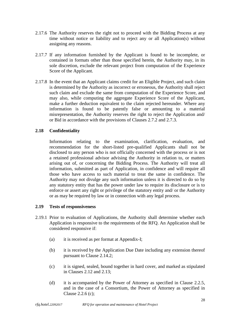- 2.17.6 The Authority reserves the right not to proceed with the Bidding Process at any time without notice or liability and to reject any or all Application(s) without assigning any reasons.
- 2.17.7 If any information furnished by the Applicant is found to be incomplete, or contained in formats other than those specified herein, the Authority may, in its sole discretion, exclude the relevant project from computation of the Experience Score of the Applicant.
- 2.17.8 In the event that an Applicant claims credit for an Eligible Project, and such claim is determined by the Authority as incorrect or erroneous, the Authority shall reject such claim and exclude the same from computation of the Experience Score, and may also, while computing the aggregate Experience Score of the Applicant, make a further deduction equivalent to the claim rejected hereunder. Where any information is found to be patently false or amounting to a material misrepresentation, the Authority reserves the right to reject the Application and/ or Bid in accordance with the provisions of Clauses 2.7.2 and 2.7.3.

# **2.18 Confidentiality**

Information relating to the examination, clarification, evaluation, and recommendation for the short-listed pre-qualified Applicants shall not be disclosed to any person who is not officially concerned with the process or is not a retained professional advisor advising the Authority in relation to, or matters arising out of, or concerning the Bidding Process. The Authority will treat all information, submitted as part of Application, in confidence and will require all those who have access to such material to treat the same in confidence. The Authority may not divulge any such information unless it is directed to do so by any statutory entity that has the power under law to require its disclosure or is to enforce or assert any right or privilege of the statutory entity and/ or the Authority or as may be required by law or in connection with any legal process.

# **2.19 Tests of responsiveness**

- 2.19.1 Prior to evaluation of Applications, the Authority shall determine whether each Application is responsive to the requirements of the RFQ. An Application shall be considered responsive if:
	- (a) it is received as per format at Appendix-I;
	- (b) it is received by the Application Due Date including any extension thereof pursuant to Clause 2.14.2;
	- (c) it is signed, sealed, bound together in hard cover, and marked as stipulated in Clauses 2.12 and 2.13;
	- (d) it is accompanied by the Power of Attorney as specified in Clause 2.2.5, and in the case of a Consortium, the Power of Attorney as specified in Clause 2.2.6 (c);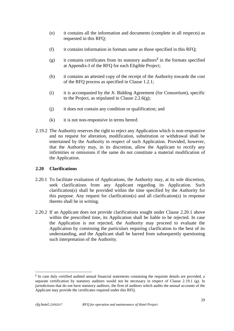- (e) it contains all the information and documents (complete in all respects) as requested in this RFQ;
- (f) it contains information in formats same as those specified in this RFQ;
- $(g)$  it contains certificates from its statutory auditors<sup>\$</sup> in the formats specified at Appendix-I of the RFQ for each Eligible Project;
- (h) it contains an attested copy of the receipt of the Authority towards the cost of the RFQ process as specified in Clause 1.2.1;
- (i) it is accompanied by the Jt. Bidding Agreement (for Consortium), specific to the Project, as stipulated in Clause  $2.2.6(g)$ ;
- (j) it does not contain any condition or qualification; and
- (k) it is not non-responsive in terms hereof.
- 2.19.2 The Authority reserves the right to reject any Application which is non-responsive and no request for alteration, modification, substitution or withdrawal shall be entertained by the Authority in respect of such Application. Provided, however, that the Authority may, in its discretion, allow the Applicant to rectify any infirmities or omissions if the same do not constitute a material modification of the Application.

# **2.20 Clarifications**

- 2.20.1 To facilitate evaluation of Applications, the Authority may, at its sole discretion, seek clarifications from any Applicant regarding its Application. Such clarification(s) shall be provided within the time specified by the Authority for this purpose. Any request for clarification(s) and all clarification(s) in response thereto shall be in writing.
- 2.20.2 If an Applicant does not provide clarifications sought under Clause 2.20.1 above within the prescribed time, its Application shall be liable to be rejected. In case the Application is not rejected, the Authority may proceed to evaluate the Application by construing the particulars requiring clarification to the best of its understanding, and the Applicant shall be barred from subsequently questioning such interpretation of the Authority.

 $\overline{a}$ <sup>§</sup> In case duly certified audited annual financial statements containing the requisite details are provided, a separate certification by statutory auditors would not be necessary in respect of Clause 2.19.1 (g). In jurisdictions that do not have statutory auditors, the firm of auditors which audits the annual accounts of the Applicant may provide the certificates required under this RFQ.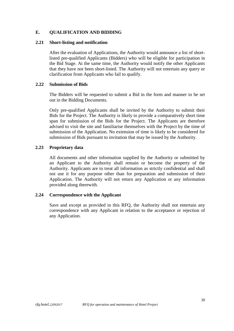# **E. QUALIFICATION AND BIDDING**

#### **2.21 Short-listing and notification**

After the evaluation of Applications, the Authority would announce a list of shortlisted pre-qualified Applicants (Bidders) who will be eligible for participation in the Bid Stage. At the same time, the Authority would notify the other Applicants that they have not been short-listed. The Authority will not entertain any query or clarification from Applicants who fail to qualify.

#### **2.22 Submission of Bids**

The Bidders will be requested to submit a Bid in the form and manner to be set out in the Bidding Documents.

Only pre-qualified Applicants shall be invited by the Authority to submit their Bids for the Project. The Authority is likely to provide a comparatively short time span for submission of the Bids for the Project. The Applicants are therefore advised to visit the site and familiarise themselves with the Project by the time of submission of the Application. No extension of time is likely to be considered for submission of Bids pursuant to invitation that may be issued by the Authority.

# **2.23 Proprietary data**

All documents and other information supplied by the Authority or submitted by an Applicant to the Authority shall remain or become the property of the Authority. Applicants are to treat all information as strictly confidential and shall not use it for any purpose other than for preparation and submission of their Application. The Authority will not return any Application or any information provided along therewith.

#### **2.24 Correspondence with the Applicant**

Save and except as provided in this RFQ, the Authority shall not entertain any correspondence with any Applicant in relation to the acceptance or rejection of any Application.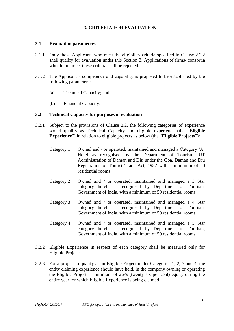# **3. CRITERIA FOR EVALUATION**

#### **3.1 Evaluation parameters**

- 3.1.1 Only those Applicants who meet the eligibility criteria specified in Clause 2.2.2 shall qualify for evaluation under this Section 3. Applications of firms/ consortia who do not meet these criteria shall be rejected.
- 3.1.2 The Applicant's competence and capability is proposed to be established by the following parameters:
	- (a) Technical Capacity; and
	- (b) Financial Capacity.

#### **3.2 Technical Capacity for purposes of evaluation**

- 3.2.1 Subject to the provisions of Clause 2.2, the following categories of experience would qualify as Technical Capacity and eligible experience (the "**Eligible Experience**") in relation to eligible projects as below (the "**Eligible Projects**"):
	- Category 1: Owned and / or operated, maintained and managed a Category 'A' Hotel as recognised by the Department of Tourism, UT Administration of Daman and Diu under the Goa, Daman and Diu Registration of Tourist Trade Act, 1982 with a minimum of 50 residential rooms
	- Category 2: Owned and / or operated, maintained and managed a 3 Star category hotel, as recognised by Department of Tourism, Government of India, with a minimum of 50 residential rooms
	- Category 3: Owned and / or operated, maintained and managed a 4 Star category hotel, as recognised by Department of Tourism, Government of India, with a minimum of 50 residential rooms
	- Category 4: Owned and / or operated, maintained and managed a 5 Star category hotel, as recognised by Department of Tourism, Government of India, with a minimum of 50 residential rooms
- 3.2.2 Eligible Experience in respect of each category shall be measured only for Eligible Projects.
- 3.2.3 For a project to qualify as an Eligible Project under Categories 1, 2, 3 and 4, the entity claiming experience should have held, in the company owning or operating the Eligible Project, a minimum of 26% (twenty six per cent) equity during the entire year for which Eligible Experience is being claimed.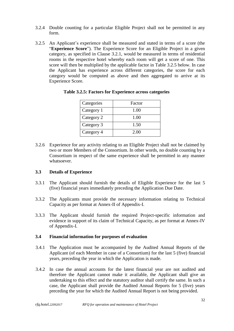- 3.2.4 Double counting for a particular Eligible Project shall not be permitted in any form.
- 3.2.5 An Applicant's experience shall be measured and stated in terms of a score (the "**Experience Score**"). The Experience Score for an Eligible Project in a given category, as specified in Clause 3.2.1, would be measured in terms of residential rooms in the respective hotel whereby each room will get a score of one. This score will then be multiplied by the applicable factor in Table 3.2.5 below. In case the Applicant has experience across different categories, the score for each category would be computed as above and then aggregated to arrive at its Experience Score.

| Categories | Factor |
|------------|--------|
| Category 1 | 1.00   |
| Category 2 | 1.00   |
| Category 3 | 1.50   |
| Category 4 | 2.00   |

#### **Table 3.2.5: Factors for Experience across categories**

3.2.6 Experience for any activity relating to an Eligible Project shall not be claimed by two or more Members of the Consortium. In other words, no double counting by a Consortium in respect of the same experience shall be permitted in any manner whatsoever.

#### **3.3 Details of Experience**

- 3.3.1 The Applicant should furnish the details of Eligible Experience for the last 5 (five) financial years immediately preceding the Application Due Date.
- 3.3.2 The Applicants must provide the necessary information relating to Technical Capacity as per format at Annex-II of Appendix-I.
- 3.3.3 The Applicant should furnish the required Project-specific information and evidence in support of its claim of Technical Capacity, as per format at Annex-IV of Appendix-I.

#### **3.4 Financial information for purposes of evaluation**

- 3.4.1 The Application must be accompanied by the Audited Annual Reports of the Applicant (of each Member in case of a Consortium) for the last 5 (five) financial years, preceding the year in which the Application is made.
- 3.4.2 In case the annual accounts for the latest financial year are not audited and therefore the Applicant cannot make it available, the Applicant shall give an undertaking to this effect and the statutory auditor shall certify the same. In such a case, the Applicant shall provide the Audited Annual Reports for 5 (five) years preceding the year for which the Audited Annual Report is not being provided.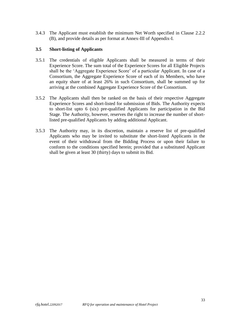3.4.3 The Applicant must establish the minimum Net Worth specified in Clause 2.2.2 (B), and provide details as per format at Annex-III of Appendix-I.

#### **3.5 Short-listing of Applicants**

- 3.5.1 The credentials of eligible Applicants shall be measured in terms of their Experience Score. The sum total of the Experience Scores for all Eligible Projects shall be the 'Aggregate Experience Score' of a particular Applicant. In case of a Consortium, the Aggregate Experience Score of each of its Members, who have an equity share of at least 26% in such Consortium, shall be summed up for arriving at the combined Aggregate Experience Score of the Consortium.
- 3.5.2 The Applicants shall then be ranked on the basis of their respective Aggregate Experience Scores and short-listed for submission of Bids. The Authority expects to short-list upto 6 (six) pre-qualified Applicants for participation in the Bid Stage. The Authority, however, reserves the right to increase the number of shortlisted pre-qualified Applicants by adding additional Applicant.
- 3.5.3 The Authority may, in its discretion, maintain a reserve list of pre-qualified Applicants who may be invited to substitute the short-listed Applicants in the event of their withdrawal from the Bidding Process or upon their failure to conform to the conditions specified herein; provided that a substituted Applicant shall be given at least 30 (thirty) days to submit its Bid.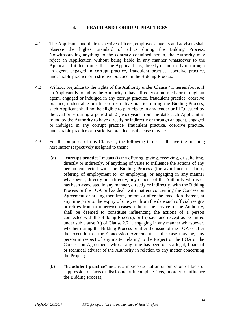#### **4. FRAUD AND CORRUPT PRACTICES**

- 4.1 The Applicants and their respective officers, employees, agents and advisers shall observe the highest standard of ethics during the Bidding Process. Notwithstanding anything to the contrary contained herein, the Authority may reject an Application without being liable in any manner whatsoever to the Applicant if it determines that the Applicant has, directly or indirectly or through an agent, engaged in corrupt practice, fraudulent practice, coercive practice, undesirable practice or restrictive practice in the Bidding Process.
- 4.2 Without prejudice to the rights of the Authority under Clause 4.1 hereinabove, if an Applicant is found by the Authority to have directly or indirectly or through an agent, engaged or indulged in any corrupt practice, fraudulent practice, coercive practice, undesirable practice or restrictive practice during the Bidding Process, such Applicant shall not be eligible to participate in any tender or RFQ issued by the Authority during a period of 2 (two) years from the date such Applicant is found by the Authority to have directly or indirectly or through an agent, engaged or indulged in any corrupt practice, fraudulent practice, coercive practice, undesirable practice or restrictive practice, as the case may be.
- 4.3 For the purposes of this Clause 4, the following terms shall have the meaning hereinafter respectively assigned to them:
	- (a) "**corrupt practice**" means (i) the offering, giving, receiving, or soliciting, directly or indirectly, of anything of value to influence the actions of any person connected with the Bidding Process (for avoidance of doubt, offering of employment to, or employing, or engaging in any manner whatsoever, directly or indirectly, any official of the Authority who is or has been associated in any manner, directly or indirectly, with the Bidding Process or the LOA or has dealt with matters concerning the Concession Agreement or arising therefrom, before or after the execution thereof, at any time prior to the expiry of one year from the date such official resigns or retires from or otherwise ceases to be in the service of the Authority, shall be deemed to constitute influencing the actions of a person connected with the Bidding Process); or (ii) save and except as permitted under sub clause (d) of Clause 2.2.1, engaging in any manner whatsoever, whether during the Bidding Process or after the issue of the LOA or after the execution of the Concession Agreement, as the case may be, any person in respect of any matter relating to the Project or the LOA or the Concession Agreement, who at any time has been or is a legal, financial or technical adviser of the Authority in relation to any matter concerning the Project;
	- (b) "**fraudulent practice**" means a misrepresentation or omission of facts or suppression of facts or disclosure of incomplete facts, in order to influence the Bidding Process;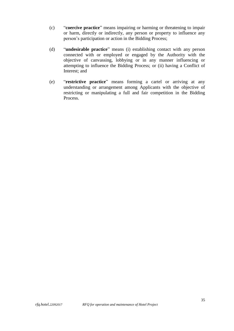- (c) "**coercive practice**" means impairing or harming or threatening to impair or harm, directly or indirectly, any person or property to influence any person's participation or action in the Bidding Process;
- (d) "**undesirable practice**" means (i) establishing contact with any person connected with or employed or engaged by the Authority with the objective of canvassing, lobbying or in any manner influencing or attempting to influence the Bidding Process; or (ii) having a Conflict of Interest; and
- (e) "**restrictive practice**" means forming a cartel or arriving at any understanding or arrangement among Applicants with the objective of restricting or manipulating a full and fair competition in the Bidding Process.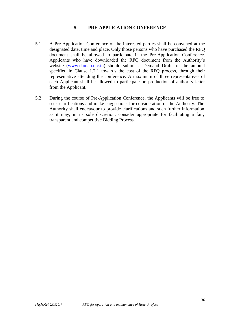#### **5. PRE-APPLICATION CONFERENCE**

- 5.1 A Pre-Application Conference of the interested parties shall be convened at the designated date, time and place. Only those persons who have purchased the RFQ document shall be allowed to participate in the Pre-Application Conference. Applicants who have downloaded the RFQ document from the Authority's website [\(www.daman.nic.in\)](http://www.daman.nic.in/) should submit a Demand Draft for the amount specified in Clause 1.2.1 towards the cost of the RFQ process, through their representative attending the conference. A maximum of three representatives of each Applicant shall be allowed to participate on production of authority letter from the Applicant.
- 5.2 During the course of Pre-Application Conference, the Applicants will be free to seek clarifications and make suggestions for consideration of the Authority. The Authority shall endeavour to provide clarifications and such further information as it may, in its sole discretion, consider appropriate for facilitating a fair, transparent and competitive Bidding Process.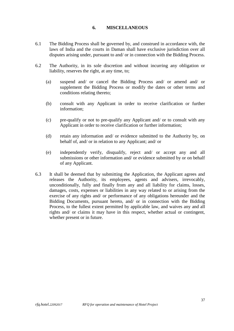#### **6. MISCELLANEOUS**

- 6.1 The Bidding Process shall be governed by, and construed in accordance with, the laws of India and the courts in Daman shall have exclusive jurisdiction over all disputes arising under, pursuant to and/ or in connection with the Bidding Process.
- 6.2 The Authority, in its sole discretion and without incurring any obligation or liability, reserves the right, at any time, to;
	- (a) suspend and/ or cancel the Bidding Process and/ or amend and/ or supplement the Bidding Process or modify the dates or other terms and conditions relating thereto;
	- (b) consult with any Applicant in order to receive clarification or further information;
	- (c) pre-qualify or not to pre-qualify any Applicant and/ or to consult with any Applicant in order to receive clarification or further information;
	- (d) retain any information and/ or evidence submitted to the Authority by, on behalf of, and/ or in relation to any Applicant; and/ or
	- (e) independently verify, disqualify, reject and/ or accept any and all submissions or other information and/ or evidence submitted by or on behalf of any Applicant.
- 6.3 It shall be deemed that by submitting the Application, the Applicant agrees and releases the Authority, its employees, agents and advisers, irrevocably, unconditionally, fully and finally from any and all liability for claims, losses, damages, costs, expenses or liabilities in any way related to or arising from the exercise of any rights and/ or performance of any obligations hereunder and the Bidding Documents, pursuant hereto, and/ or in connection with the Bidding Process, to the fullest extent permitted by applicable law, and waives any and all rights and/ or claims it may have in this respect, whether actual or contingent, whether present or in future.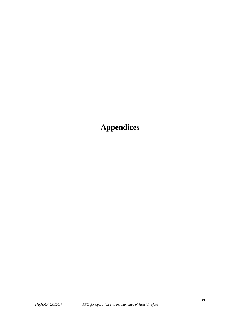# **Appendices**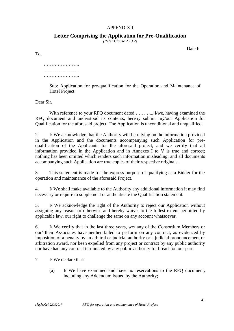#### APPENDIX-I

#### **Letter Comprising the Application for Pre-Qualification**

*(Refer Clause 2.13.2)*

Dated:

To,

…………………………… ………………….. …………………..

> Sub: Application for pre-qualification for the Operation and Maintenance of Hotel Project

Dear Sir,

With reference to your RFQ document dated ..........., I/we, having examined the RFQ document and understood its contents, hereby submit my/our Application for Qualification for the aforesaid project. The Application is unconditional and unqualified.

2. I/ We acknowledge that the Authority will be relying on the information provided in the Application and the documents accompanying such Application for prequalification of the Applicants for the aforesaid project, and we certify that all information provided in the Application and in Annexes I to V is true and correct; nothing has been omitted which renders such information misleading; and all documents accompanying such Application are true copies of their respective originals.

3. This statement is made for the express purpose of qualifying as a Bidder for the operation and maintenance of the aforesaid Project.

4. I/ We shall make available to the Authority any additional information it may find necessary or require to supplement or authenticate the Qualification statement.

5. I/ We acknowledge the right of the Authority to reject our Application without assigning any reason or otherwise and hereby waive, to the fullest extent permitted by applicable law, our right to challenge the same on any account whatsoever.

6. I/ We certify that in the last three years, we/ any of the Consortium Members or our/ their Associates have neither failed to perform on any contract, as evidenced by imposition of a penalty by an arbitral or judicial authority or a judicial pronouncement or arbitration award, nor been expelled from any project or contract by any public authority nor have had any contract terminated by any public authority for breach on our part.

7. I/ We declare that:

(a) I/ We have examined and have no reservations to the RFQ document, including any Addendum issued by the Authority;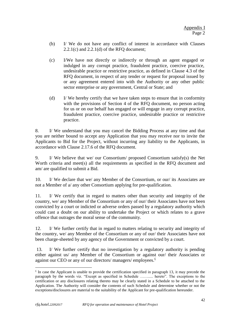- (b) I/ We do not have any conflict of interest in accordance with Clauses  $2.2.1(c)$  and  $2.2.1(d)$  of the RFQ document;
- (c) I/We have not directly or indirectly or through an agent engaged or indulged in any corrupt practice, fraudulent practice, coercive practice, undesirable practice or restrictive practice, as defined in Clause 4.3 of the RFQ document, in respect of any tender or request for proposal issued by or any agreement entered into with the Authority or any other public sector enterprise or any government, Central or State; and
- (d) I/ We hereby certify that we have taken steps to ensure that in conformity with the provisions of Section 4 of the RFQ document, no person acting for us or on our behalf has engaged or will engage in any corrupt practice, fraudulent practice, coercive practice, undesirable practice or restrictive practice.

8. I/ We understand that you may cancel the Bidding Process at any time and that you are neither bound to accept any Application that you may receive nor to invite the Applicants to Bid for the Project, without incurring any liability to the Applicants, in accordance with Clause 2.17.6 of the RFQ document.

9. I/ We believe that we/ our Consortium/ proposed Consortium satisfy(s) the Net Worth criteria and meet(s) all the requirements as specified in the RFQ document and am/ are qualified to submit a Bid.

10. I/ We declare that we/ any Member of the Consortium, or our/ its Associates are not a Member of a/ any other Consortium applying for pre-qualification.

11. I/ We certify that in regard to matters other than security and integrity of the country, we/ any Member of the Consortium or any of our/ their Associates have not been convicted by a court or indicted or adverse orders passed by a regulatory authority which could cast a doubt on our ability to undertake the Project or which relates to a grave offence that outrages the moral sense of the community.

12. I/ We further certify that in regard to matters relating to security and integrity of the country, we/ any Member of the Consortium or any of our/ their Associates have not been charge-sheeted by any agency of the Government or convicted by a court.

13. I/ We further certify that no investigation by a regulatory authority is pending either against us/ any Member of the Consortium or against our/ their Associates or against our CEO or any of our directors/ managers/ employees. $\epsilon$ 

 $\overline{a}$ 

 $<sup>£</sup>$  In case the Applicant is unable to provide the certification specified in paragraph 13, it may precede the</sup> paragraph by the words viz. "Except as specified in Schedule ……..... hereto". The exceptions to the certification or any disclosures relating thereto may be clearly stated in a Schedule to be attached to the Application. The Authority will consider the contents of such Schedule and determine whether or not the exceptions/disclosures are material to the suitability of the Applicant for pre-qualification hereunder.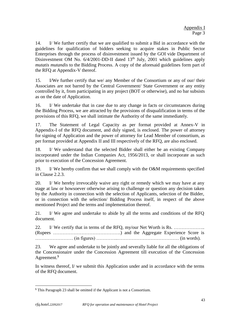14. I/ We further certify that we are qualified to submit a Bid in accordance with the guidelines for qualification of bidders seeking to acquire stakes in Public Sector Enterprises through the process of disinvestment issued by the GOI vide Department of Disinvestment OM No.  $6/4/2001$ -DD-II dated  $13<sup>th</sup>$  July, 2001 which guidelines apply *mutatis mutandis* to the Bidding Process. A copy of the aforesaid guidelines form part of the RFQ at Appendix-V thereof.

15. I/We further certify that we/ any Member of the Consortium or any of our/ their Associates are not barred by the Central Government/ State Government or any entity controlled by it, from participating in any project (BOT or otherwise), and no bar subsists as on the date of Application.

16. I/ We undertake that in case due to any change in facts or circumstances during the Bidding Process, we are attracted by the provisions of disqualification in terms of the provisions of this RFQ, we shall intimate the Authority of the same immediately.

17. The Statement of Legal Capacity as per format provided at Annex-V in Appendix-I of the RFQ document, and duly signed, is enclosed. The power of attorney for signing of Application and the power of attorney for Lead Member of consortium, as per format provided at Appendix II and III respectively of the RFQ, are also enclosed.

18. I/ We understand that the selected Bidder shall either be an existing Company incorporated under the Indian Companies Act, 1956/2013, or shall incorporate as such prior to execution of the Concession Agreement.

19. I/ We hereby confirm that we shall comply with the O&M requirements specified in Clause 2.2.3.

20. I/ We hereby irrevocably waive any right or remedy which we may have at any stage at law or howsoever otherwise arising to challenge or question any decision taken by the Authority in connection with the selection of Applicants, selection of the Bidder, or in connection with the selection/ Bidding Process itself, in respect of the above mentioned Project and the terms and implementation thereof.

21. I/ We agree and undertake to abide by all the terms and conditions of the RFQ document.

22. I/ We certify that in terms of the RFQ, my/our Net Worth is Rs. ……………….. (Rupees …………………………………….) and the Aggregate Experience Score is …………………… (in figures) …………..………………………………… (in words).

23. We agree and undertake to be jointly and severally liable for all the obligations of the Concessionaire under the Concession Agreement till execution of the Concession Agreement.\$

In witness thereof, I/ we submit this Application under and in accordance with the terms of the RFQ document.

 $\overline{a}$ 

<sup>\$</sup> This Paragraph 23 shall be omitted if the Applicant is not a Consortium.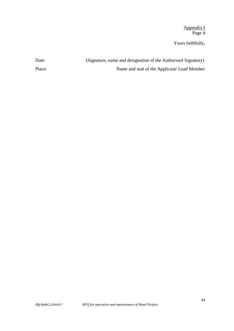Appendix I Page 4

Yours faithfully,

| Date:  | (Signature, name and designation of the Authorised Signatory) |
|--------|---------------------------------------------------------------|
| Place: | Name and seal of the Applicant/ Lead Member                   |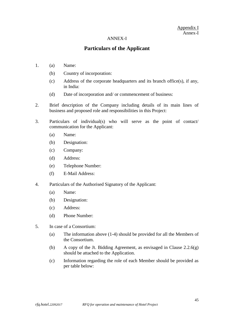#### Appendix I Annex-I

#### ANNEX-I

### **Particulars of the Applicant**

- 1. (a) Name:
	- (b) Country of incorporation:
	- (c) Address of the corporate headquarters and its branch office(s), if any, in India:
	- (d) Date of incorporation and/ or commencement of business:
- 2. Brief description of the Company including details of its main lines of business and proposed role and responsibilities in this Project:
- 3. Particulars of individual(s) who will serve as the point of contact/ communication for the Applicant:
	- (a) Name:
	- (b) Designation:
	- (c) Company:
	- (d) Address:
	- (e) Telephone Number:
	- (f) E-Mail Address:
- 4. Particulars of the Authorised Signatory of the Applicant:
	- (a) Name:
	- (b) Designation:
	- (c) Address:
	- (d) Phone Number:
- 5. In case of a Consortium:
	- (a) The information above (1-4) should be provided for all the Members of the Consortium.
	- (b) A copy of the Jt. Bidding Agreement, as envisaged in Clause 2.2.6(g) should be attached to the Application.
	- (c) Information regarding the role of each Member should be provided as per table below: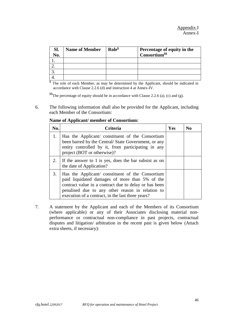| SI.<br>No. | <b>Name of Member</b> | $\text{Role}^{\$}$ | Percentage of equity in the<br>Consortium <sup>\$\$</sup> |
|------------|-----------------------|--------------------|-----------------------------------------------------------|
|            |                       |                    |                                                           |
|            |                       |                    |                                                           |
|            |                       |                    |                                                           |
|            |                       |                    |                                                           |

 $\overline{\$}$  The role of each Member, as may be determined by the Applicant, should be indicated in accordance with Clause 2.2.6 (d) and instruction 4 at Annex-IV.

 $$^{S\$}$ The percentage of equity should be in accordance with Clause 2.2.6 (a), (c) and (g).

6. The following information shall also be provided for the Applicant, including each Member of the Consortium:

| No. | <b>Criteria</b>                                                                                                                                                                                                                                                     | Yes | $\bf No$ |
|-----|---------------------------------------------------------------------------------------------------------------------------------------------------------------------------------------------------------------------------------------------------------------------|-----|----------|
| 1.  | Has the Applicant/ constituent of the Consortium<br>been barred by the Central/ State Government, or any<br>entity controlled by it, from participating in any<br>project (BOT or otherwise)?                                                                       |     |          |
| 2.  | If the answer to 1 is yes, does the bar subsist as on<br>the date of Application?                                                                                                                                                                                   |     |          |
| 3.  | Has the Applicant/constituent of the Consortium<br>paid liquidated damages of more than 5% of the<br>contract value in a contract due to delay or has been<br>penalised due to any other reason in relation to<br>execution of a contract, in the last three years? |     |          |

**Name of Applicant/ member of Consortium:**

7. A statement by the Applicant and each of the Members of its Consortium (where applicable) or any of their Associates disclosing material nonperformance or contractual non-compliance in past projects, contractual disputes and litigation/ arbitration in the recent past is given below (Attach extra sheets, if necessary):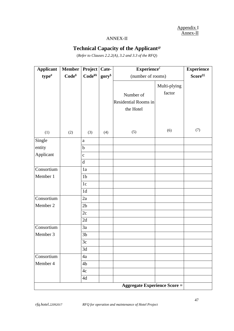Appendix I Annex-II

#### ANNEX-II

## **Technical Capacity of the Applicant@**

(*Refer to Clauses 2.2.2(A), 3.2 and 3.3 of the RFQ*)

| <b>Applicant</b> | <b>Member</b>     | <b>Project</b>     | Cate-       | $\overline{\mathbf{Experiment}}^t$                    | <b>Experience</b>      |     |
|------------------|-------------------|--------------------|-------------|-------------------------------------------------------|------------------------|-----|
| $type$ #         | Code <sup>Y</sup> | Code <sup>yy</sup> | $gory^{\$}$ | (number of rooms)                                     | $Score^{\text{ff}}$    |     |
|                  |                   |                    |             | Number of<br><b>Residential Rooms in</b><br>the Hotel | Multi-plying<br>factor |     |
| (1)              | (2)               | (3)                | (4)         | (5)                                                   | (6)                    | (7) |
| Single           |                   | $\rm{a}$           |             |                                                       |                        |     |
| entity           |                   | $\mathbf b$        |             |                                                       |                        |     |
| Applicant        |                   | $\mathbf{C}$       |             |                                                       |                        |     |
|                  |                   | $\mathbf d$        |             |                                                       |                        |     |
| Consortium       |                   | 1a                 |             |                                                       |                        |     |
| Member 1         |                   | 1 <sub>b</sub>     |             |                                                       |                        |     |
|                  |                   | 1c                 |             |                                                       |                        |     |
|                  |                   | 1 <sub>d</sub>     |             |                                                       |                        |     |
| Consortium       |                   | 2a                 |             |                                                       |                        |     |
| Member 2         |                   | 2 <sub>b</sub>     |             |                                                       |                        |     |
|                  |                   | 2c                 |             |                                                       |                        |     |
|                  |                   | 2d                 |             |                                                       |                        |     |
| Consortium       |                   | 3a                 |             |                                                       |                        |     |
| Member 3         |                   | 3 <sub>b</sub>     |             |                                                       |                        |     |
|                  |                   | $3\mathrm{c}$      |             |                                                       |                        |     |
|                  |                   | 3d                 |             |                                                       |                        |     |
| Consortium       |                   | 4a                 |             |                                                       |                        |     |
| Member 4         |                   | 4 <sub>b</sub>     |             |                                                       |                        |     |
|                  |                   | 4c                 |             |                                                       |                        |     |
|                  |                   | 4d                 |             |                                                       |                        |     |
|                  |                   |                    |             | <b>Aggregate Experience Score =</b>                   |                        |     |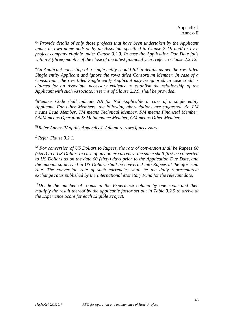*@ Provide details of only those projects that have been undertaken by the Applicant under its own name and/ or by an Associate specified in Clause 2.2.9 and/ or by a project company eligible under Clause 3.2.3. In case the Application Due Date falls within 3 (three) months of the close of the latest financial year, refer to Clause 2.2.12.*

*#An Applicant consisting of a single entity should fill in details as per the row titled Single entity Applicant and ignore the rows titled Consortium Member. In case of a Consortium, the row titled Single entity Applicant may be ignored. In case credit is claimed for an Associate, necessary evidence to establish the relationship of the Applicant with such Associate, in terms of Clause 2.2.9, shall be provided.*

*¥Member Code shall indicate NA for Not Applicable in case of a single entity Applicant. For other Members, the following abbreviations are suggested viz. LM means Lead Member, TM means Technical Member, FM means Financial Member, OMM means Operation & Maintenance Member, OM means Other Member.* 

¥¥*Refer Annex-IV of this Appendix-I. Add more rows if necessary.* 

*\$ Refer Clause 3.2.1.*

*\$\$ For conversion of US Dollars to Rupees, the rate of conversion shall be Rupees 60 (sixty) to a US Dollar. In case of any other currency, the same shall first be converted to US Dollars as on the date 60 (sixty) days prior to the Application Due Date, and the amount so derived in US Dollars shall be converted into Rupees at the aforesaid rate. The conversion rate of such currencies shall be the daily representative exchange rates published by the International Monetary Fund for the relevant date.*

*££Divide the number of rooms in the Experience column by one room and then multiply the result thereof by the applicable factor set out in Table 3.2.5 to arrive at the Experience Score for each Eligible Project.*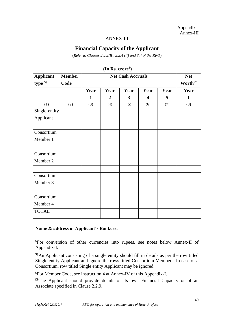Appendix I Annex-III

#### ANNEX-III

#### **Financial Capacity of the Applicant**

(*Refer to Clauses 2.2.2(B), 2.2.4 (ii) and 3.4 of the RFQ*)

| <b>Applicant</b>                       | <b>Member</b>     | <b>Net Cash Accruals</b> |                  |              |                         |      |      |  |  |  |  |  |  |  |  |
|----------------------------------------|-------------------|--------------------------|------------------|--------------|-------------------------|------|------|--|--|--|--|--|--|--|--|
| type \$\$                              | Code <sup>f</sup> |                          |                  |              |                         |      |      |  |  |  |  |  |  |  |  |
|                                        |                   | Year                     | Year             | Year         | Year                    | Year | Year |  |  |  |  |  |  |  |  |
|                                        |                   | 1                        | $\boldsymbol{2}$ | $\mathbf{3}$ | $\overline{\mathbf{4}}$ | 5    | 1    |  |  |  |  |  |  |  |  |
| (1)                                    | (2)               | (3)                      | (4)              | (5)          | (6)                     | (7)  | (8)  |  |  |  |  |  |  |  |  |
| Single entity                          |                   |                          |                  |              |                         |      |      |  |  |  |  |  |  |  |  |
| Applicant                              |                   |                          |                  |              |                         |      |      |  |  |  |  |  |  |  |  |
| Consortium<br>Member 1                 |                   |                          |                  |              |                         |      |      |  |  |  |  |  |  |  |  |
| Consortium<br>Member 2                 |                   |                          |                  |              |                         |      |      |  |  |  |  |  |  |  |  |
| Consortium<br>Member 3                 |                   |                          |                  |              |                         |      |      |  |  |  |  |  |  |  |  |
| Consortium<br>Member 4<br><b>TOTAL</b> |                   |                          |                  |              |                         |      |      |  |  |  |  |  |  |  |  |

**(In Rs. crore\$ )**

#### **Name & address of Applicant's Bankers:**

\$For conversion of other currencies into rupees, see notes below Annex-II of Appendix-I.

**\$\$**An Applicant consisting of a single entity should fill in details as per the row titled Single entity Applicant and ignore the rows titled Consortium Members. In case of a Consortium, row titled Single entity Applicant may be ignored.

**£**For Member Code, see instruction 4 at Annex-IV of this Appendix-I.

**££**The Applicant should provide details of its own Financial Capacity or of an Associate specified in Clause 2.2.9.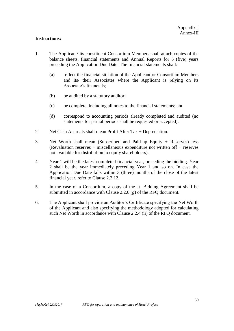#### **Instructions:**

- 1. The Applicant/ its constituent Consortium Members shall attach copies of the balance sheets, financial statements and Annual Reports for 5 (five) years preceding the Application Due Date. The financial statements shall:
	- (a) reflect the financial situation of the Applicant or Consortium Members and its/ their Associates where the Applicant is relying on its Associate's financials;
	- (b) be audited by a statutory auditor;
	- (c) be complete, including all notes to the financial statements; and
	- (d) correspond to accounting periods already completed and audited (no statements for partial periods shall be requested or accepted).
- 2. Net Cash Accruals shall mean Profit After Tax + Depreciation.
- 3. Net Worth shall mean (Subscribed and Paid-up Equity + Reserves) less (Revaluation reserves + miscellaneous expenditure not written off + reserves not available for distribution to equity shareholders).
- 4. Year 1 will be the latest completed financial year, preceding the bidding. Year 2 shall be the year immediately preceding Year 1 and so on. In case the Application Due Date falls within 3 (three) months of the close of the latest financial year, refer to Clause 2.2.12.
- 5. In the case of a Consortium, a copy of the Jt. Bidding Agreement shall be submitted in accordance with Clause 2.2.6 (g) of the RFQ document.
- 6. The Applicant shall provide an Auditor's Certificate specifying the Net Worth of the Applicant and also specifying the methodology adopted for calculating such Net Worth in accordance with Clause 2.2.4 (ii) of the RFQ document.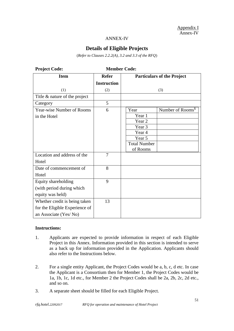Appendix I Annex-IV

#### ANNEX-IV

### **Details of Eligible Projects**

(*Refer to Clauses 2.2.2(A), 3.2 and 3.3 of the RFQ*)

| <b>Project Code:</b>             | <b>Member Code:</b> |                                       |
|----------------------------------|---------------------|---------------------------------------|
| <b>Item</b>                      | <b>Refer</b>        | <b>Particulars of the Project</b>     |
|                                  | <b>Instruction</b>  |                                       |
| (1)                              | (2)                 | (3)                                   |
| Title $\&$ nature of the project |                     |                                       |
| Category                         | 5                   |                                       |
| <b>Year-wise Number of Rooms</b> | 6                   | Number of Rooms <sup>\$</sup><br>Year |
| in the Hotel                     |                     | Year 1                                |
|                                  |                     | Year 2                                |
|                                  |                     | Year 3                                |
|                                  |                     | Year 4                                |
|                                  |                     | Year 5                                |
|                                  |                     | <b>Total Number</b>                   |
|                                  |                     | of Rooms                              |
| Location and address of the      | 7                   |                                       |
| Hotel                            |                     |                                       |
| Date of commencement of          | 8                   |                                       |
| Hotel                            |                     |                                       |
| Equity shareholding              | 9                   |                                       |
| (with period during which        |                     |                                       |
| equity was held)                 |                     |                                       |
| Whether credit is being taken    | 13                  |                                       |
| for the Eligible Experience of   |                     |                                       |
| an Associate (Yes/No)            |                     |                                       |

#### **Instructions:**

- 1. Applicants are expected to provide information in respect of each Eligible Project in this Annex. Information provided in this section is intended to serve as a back up for information provided in the Application. Applicants should also refer to the Instructions below.
- 2. For a single entity Applicant, the Project Codes would be a, b, c, d etc. In case the Applicant is a Consortium then for Member 1, the Project Codes would be 1a, 1b, 1c, 1d etc., for Member 2 the Project Codes shall be 2a, 2b, 2c, 2d etc., and so on.
- 3. A separate sheet should be filled for each Eligible Project.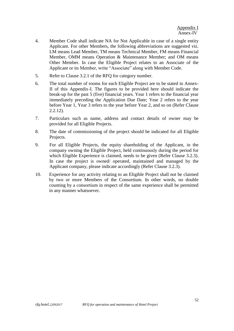- 4. Member Code shall indicate NA for Not Applicable in case of a single entity Applicant. For other Members, the following abbreviations are suggested viz. LM means Lead Member, TM means Technical Member, FM means Financial Member, OMM means Operation & Maintenance Member; and OM means Other Member. In case the Eligible Project relates to an Associate of the Applicant or its Member, write "Associate" along with Member Code.
- 5. Refer to Clause 3.2.1 of the RFQ for category number.
- 6. The total number of rooms for each Eligible Project are to be stated in Annex-II of this Appendix-I. The figures to be provided here should indicate the break-up for the past 5 (five) financial years. Year 1 refers to the financial year immediately preceding the Application Due Date; Year 2 refers to the year before Year 1, Year 3 refers to the year before Year 2, and so on (Refer Clause 2.2.12).
- 7. Particulars such as name, address and contact details of owner may be provided for all Eligible Projects.
- 8. The date of commissioning of the project should be indicated for all Eligible Projects.
- 9. For all Eligible Projects, the equity shareholding of the Applicant, in the company owning the Eligible Project, held continuously during the period for which Eligible Experience is claimed, needs to be given (Refer Clause 3.2.3). In case the project is owned/ operated, maintained and managed by the Applicant company, please indicate accordingly (Refer Clause 3.2.3).
- 10. Experience for any activity relating to an Eligible Project shall not be claimed by two or more Members of the Consortium. In other words, no double counting by a consortium in respect of the same experience shall be permitted in any manner whatsoever.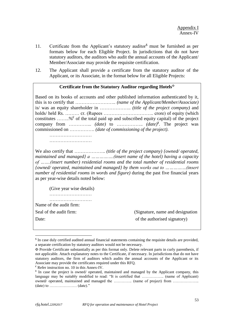- 11. Certificate from the Applicant's statutory auditor<sup>\$</sup> must be furnished as per formats below for each Eligible Project. In jurisdictions that do not have statutory auditors, the auditors who audit the annual accounts of the Applicant/ Member/Associate may provide the requisite certification.
- 12. The Applicant shall provide a certificate from the statutory auditor of the Applicant, or its Associate, in the format below for all Eligible Projects:

#### **Certificate from the Statutory Auditor regarding Hotels**

Based on its books of accounts and other published information authenticated by it, this is to certify that …………………….. *(name of the Applicant/Member/Associate)*  is/ was an equity shareholder in ……………….. *(title of the project company)* and holds/ held Rs. ……… cr. (Rupees ………………………….. crore) of equity (which constitutes ........%  $\epsilon$  of the total paid up and subscribed equity capital) of the project company from ................ *(date)* to ................. *(date)<sup>¥</sup>*. The project was commissioned on ……………. *(date of commissioning of the project)*.

……………………… ………………………

We also certify that ……………….. *(title of the project company) {owned/ operated, maintained and managed} a …………….(insert name of the hotel) having a capacity of …….(insert number) residential rooms and the total number of residential rooms {owned/ operated, maintained and managed} by them works out to ……………(insert number of residential rooms in words and figure)* during the past five financial years as per year-wise details noted below:

(Give year wise details)

………………………………

……………………… Name of the audit firm:

 $\overline{a}$ 

Seal of the audit firm: (Signature, name and designation) Date: of the authorised signatory)

<sup>&</sup>lt;sup>§</sup> In case duly certified audited annual financial statements containing the requisite details are provided, a separate certification by statutory auditors would not be necessary.

Provide Certificate substantially as per this format only. Delete relevant parts in curly parenthesis, if not applicable. Attach explanatory notes to the Certificate, if necessary. In jurisdictions that do not have statutory auditors, the firm of auditors which audits the annual accounts of the Applicant or its Associate may provide the certificates required under this RFQ.

 $\epsilon$  Refer instruction no. 10 in this Annex-IV.

<sup>¥</sup> In case the project is owned/ operated, maintained and managed by the Applicant company, this language may be suitably modified to read: "It is certified that …………….. (name of Applicant) owned/ operated, maintained and managed the ………….. (name of project) from ……………….. (date) to ………………… (date)."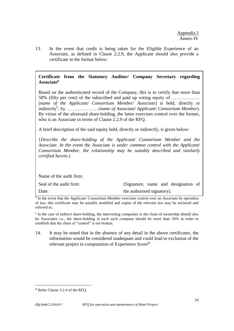13. In the event that credit is being taken for the Eligible Experience of an Associate, as defined in Clause 2.2.9, the Applicant should also provide a certificate in the format below:

#### **Certificate from the Statutory Auditor/ Company Secretary regarding Associate\$**

Based on the authenticated record of the Company, this is to certify that more than 50% (fifty per cent) of the subscribed and paid up voting equity of ……………… (*name of the Applicant/ Consortium Member/ Associate*) is held, directly or indirectly£ , by ……………….. (*name of Associate/ Applicant/ Consortium Member*). By virtue of the aforesaid share-holding, the latter exercises control over the former, who is an Associate in terms of Clause 2.2.9 of the RFQ.

A brief description of the said equity held, directly or indirectly, is given below:

{*Describe the share-holding of the Applicant/ Consortium Member and the Associate. In the event the Associate is under common control with the Applicant/ Consortium Member, the relationship may be suitably described and similarly certified herein.*}

Name of the audit firm:

| Seal of the audit firm: | (Signature, name and designation of |
|-------------------------|-------------------------------------|
| Date:                   | the authorised signatory).          |

<sup>\$</sup> In the event that the Applicant/ Consortium Member exercises control over an Associate by operation of law, this certificate may be suitably modified and copies of the relevant law may be enclosed and referred to.

 $<sup>£</sup>$  In the case of indirect share-holding, the intervening companies in the chain of ownership should also</sup> be Associates i.e., the share-holding in each such company should be more than 50% in order to establish that the chain of "control" is not broken.

14. It may be noted that in the absence of any detail in the above certificates, the information would be considered inadequate and could lead to exclusion of the relevant project in computation of Experience Score<sup> $\Theta$ </sup>.

 $\overline{a}$ 

<sup>&</sup>lt;sup> $\Theta$ </sup> Refer Clause 3.2.4 of the RFQ.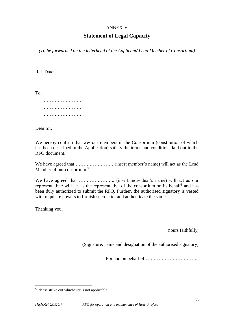#### ANNEX-V

#### **Statement of Legal Capacity**

*(To be forwarded on the letterhead of the Applicant/ Lead Member of Consortium)*

Ref. Date:

To,

|  |   |  | . |  |  |  |  |  |  |  | . |  |  |
|--|---|--|---|--|--|--|--|--|--|--|---|--|--|
|  | . |  |   |  |  |  |  |  |  |  |   |  |  |

Dear Sir,

We hereby confirm that we/ our members in the Consortium (constitution of which has been described in the Application) satisfy the terms and conditions laid out in the RFQ document.

We have agreed that …………………… (insert member's name) will act as the Lead Member of our consortium. \$

We have agreed that ………………….. (insert individual's name) will act as our representative/ will act as the representative of the consortium on its behalf<sup>\$</sup> and has been duly authorized to submit the RFQ. Further, the authorised signatory is vested with requisite powers to furnish such letter and authenticate the same.

Thanking you,

Yours faithfully,

(Signature, name and designation of the authorised signatory)

For and on behalf of……………………………..

 $\overline{a}$ 

<sup>\$</sup> Please strike out whichever is not applicable*.*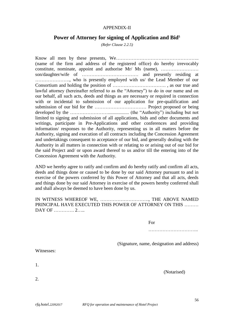#### APPENDIX-II

#### **Power of Attorney for signing of Application and Bid<sup>§</sup>**

*(Refer Clause 2.2.5)*

Know all men by these presents, We…………………………………………….. (name of the firm and address of the registered office) do hereby irrevocably constitute, nominate, appoint and authorise Mr/ Ms (name), …………………… son/daughter/wife of ……………………………… and presently residing at …………………., who is presently employed with us/ the Lead Member of our Consortium and holding the position of ……………………………. , as our true and lawful attorney (hereinafter referred to as the "Attorney") to do in our name and on our behalf, all such acts, deeds and things as are necessary or required in connection with or incidental to submission of our application for pre-qualification and submission of our bid for the …………………………… Project proposed or being developed by the …………………….................. (the "Authority") including but not limited to signing and submission of all applications, bids and other documents and writings, participate in Pre-Applications and other conferences and providing information/ responses to the Authority, representing us in all matters before the Authority, signing and execution of all contracts including the Concession Agreement and undertakings consequent to acceptance of our bid, and generally dealing with the Authority in all matters in connection with or relating to or arising out of our bid for the said Project and/ or upon award thereof to us and/or till the entering into of the Concession Agreement with the Authority.

AND we hereby agree to ratify and confirm and do hereby ratify and confirm all acts, deeds and things done or caused to be done by our said Attorney pursuant to and in exercise of the powers conferred by this Power of Attorney and that all acts, deeds and things done by our said Attorney in exercise of the powers hereby conferred shall and shall always be deemed to have been done by us.

IN WITNESS WHEREOF WE, …………………………., THE ABOVE NAMED PRINCIPAL HAVE EXECUTED THIS POWER OF ATTORNEY ON THIS ……… DAY OF …………. 2…..

For

…………………………..

(Signature, name, designation and address)

Witnesses:

1.

(Notarised)

2.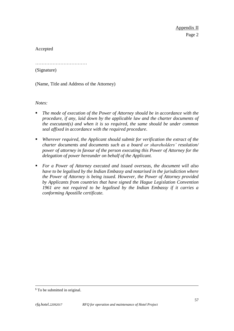Accepted

……………………………………………

(Signature)

(Name, Title and Address of the Attorney)

*Notes:* 

- The mode of execution of the Power of Attorney should be in accordance with the *procedure, if any, laid down by the applicable law and the charter documents of the executant(s) and when it is so required, the same should be under common seal affixed in accordance with the required procedure*.
- *Wherever required, the Applicant should submit for verification the extract of the charter documents and documents such as a board or shareholders' resolution/ power of attorney in favour of the person executing this Power of Attorney for the delegation of power hereunder on behalf of the Applicant.*
- *For a Power of Attorney executed and issued overseas, the document will also have to be legalised by the Indian Embassy and notarised in the jurisdiction where the Power of Attorney is being issued. However, the Power of Attorney provided by Applicants from countries that have signed the Hague Legislation Convention 1961 are not required to be legalised by the Indian Embassy if it carries a conforming Apostille certificate.*

 $\overline{a}$ 

<sup>\$</sup> To be submitted in original.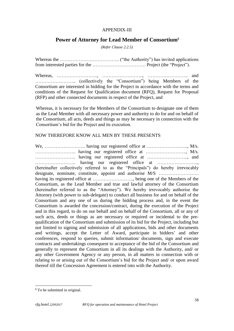#### APPENDIX-III

### **Power of Attorney for Lead Member of Consortium**\$

*(Refer Clause 2.2.5)*

Whereas the ……………………………….. ("the Authority") has invited applications from interested parties for the ……………………………. Project (the "Project").

Whereas, …………………….., …………………….., …………………….. and …………………….. (collectively the "Consortium") being Members of the Consortium are interested in bidding for the Project in accordance with the terms and conditions of the Request for Qualification document (RFQ), Request for Proposal (RFP) and other connected documents in respect of the Project, and

Whereas, it is necessary for the Members of the Consortium to designate one of them as the Lead Member with all necessary power and authority to do for and on behalf of the Consortium, all acts, deeds and things as may be necessary in connection with the Consortium's bid for the Project and its execution.

#### NOW THEREFORE KNOW ALL MEN BY THESE PRESENTS

We, …………………….. having our registered office at …………………….., M/s. …………………….. having our registered office at …………………….., M/s. …………………….. having our registered office at …………………….., and …………………….. having our registered office at …………………….., (hereinafter collectively referred to as the "Principals") do hereby irrevocably designate, nominate, constitute, appoint and authorise M/S …………………….. having its registered office at …………………….., being one of the Members of the Consortium, as the Lead Member and true and lawful attorney of the Consortium (hereinafter referred to as the "Attorney"). We hereby irrevocably authorise the Attorney (with power to sub-delegate) to conduct all business for and on behalf of the Consortium and any one of us during the bidding process and, in the event the Consortium is awarded the concession/contract, during the execution of the Project and in this regard, to do on our behalf and on behalf of the Consortium, all or any of such acts, deeds or things as are necessary or required or incidental to the prequalification of the Consortium and submission of its bid for the Project, including but not limited to signing and submission of all applications, bids and other documents and writings, accept the Letter of Award, participate in bidders' and other conferences, respond to queries, submit information/ documents, sign and execute contracts and undertakings consequent to acceptance of the bid of the Consortium and generally to represent the Consortium in all its dealings with the Authority, and/ or any other Government Agency or any person, in all matters in connection with or relating to or arising out of the Consortium's bid for the Project and/ or upon award thereof till the Concession Agreement is entered into with the Authority.

 $\overline{a}$ 

<sup>\$</sup> To be submitted in original.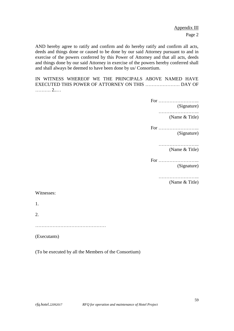AND hereby agree to ratify and confirm and do hereby ratify and confirm all acts, deeds and things done or caused to be done by our said Attorney pursuant to and in exercise of the powers conferred by this Power of Attorney and that all acts, deeds and things done by our said Attorney in exercise of the powers hereby conferred shall and shall always be deemed to have been done by us/ Consortium.

IN WITNESS WHEREOF WE THE PRINCIPALS ABOVE NAMED HAVE EXECUTED THIS POWER OF ATTORNEY ON THIS …………………. DAY OF ………. 2..…

For ……………………..

(Signature)

……………………… (Name & Title)

For …………………….. (Signature)

> ………………………… (Name & Title)

For …………………….. (Signature)

> ………………………… (Name & Title)

Witnesses:

1.

2.

………………………………………

(Executants)

(To be executed by all the Members of the Consortium)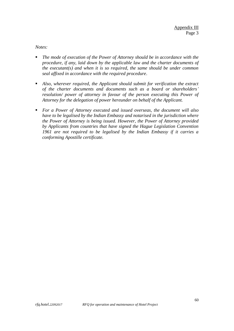*Notes:*

- The mode of execution of the Power of Attorney should be in accordance with the *procedure, if any, laid down by the applicable law and the charter documents of the executant(s) and when it is so required, the same should be under common seal affixed in accordance with the required procedure*.
- *Also, wherever required, the Applicant should submit for verification the extract of the charter documents and documents such as a board or shareholders' resolution/ power of attorney in favour of the person executing this Power of Attorney for the delegation of power hereunder on behalf of the Applicant.*
- *For a Power of Attorney executed and issued overseas, the document will also have to be legalised by the Indian Embassy and notarised in the jurisdiction where the Power of Attorney is being issued. However, the Power of Attorney provided by Applicants from countries that have signed the Hague Legislation Convention 1961 are not required to be legalised by the Indian Embassy if it carries a conforming Apostille certificate.*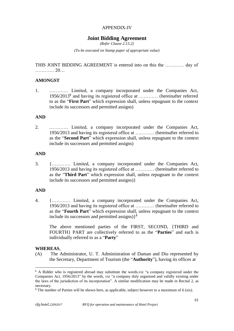#### APPENDIX-IV

#### **Joint Bidding Agreement**

*(Refer Clause 2.13.2)*

*(To be executed on Stamp paper of appropriate value)*

THIS JOINT BIDDING AGREEMENT is entered into on this the ………… day of ………… 20…

#### **AMONGST**

1. ………… Limited, a company incorporated under the Companies Act, 1956/2013¥ and having its registered office at ………… (hereinafter referred to as the "**First Part**" which expression shall, unless repugnant to the context include its successors and permitted assigns)

#### **AND**

2. ………… Limited, a company incorporated under the Companies Act, 1956/2013 and having its registered office at ………… (hereinafter referred to as the "**Second Part**" which expression shall, unless repugnant to the context include its successors and permitted assigns)

#### **AND**

3. {………… Limited, a company incorporated under the Companies Act, 1956/2013 and having its registered office at ………… (hereinafter referred to as the "**Third Part**" which expression shall, unless repugnant to the context include its successors and permitted assigns)}

#### **AND**

4. {………… Limited, a company incorporated under the Companies Act, 1956/2013 and having its registered office at ………… (hereinafter referred to as the "**Fourth Part**" which expression shall, unless repugnant to the context include its successors and permitted assigns)} \$

The above mentioned parties of the FIRST, SECOND, {THIRD and FOURTH} PART are collectively referred to as the "**Parties**" and each is individually referred to as a "**Party**"

#### **WHEREAS**,

 $\overline{a}$ 

(A) The Administrator, U. T. Administration of Daman and Diu represented by the Secretary, Department of Tourism (the "**Authority**"), having its offices at

 $*$  A Bidder who is registered abroad may substitute the words, viz "a company registered under the Companies Act, 1956/2013" by the words, viz "a company duly organised and validly existing under the laws of the jurisdiction of its incorporation". A similar modification may be made in Recital 2, as necessary.

<sup>\$</sup> The number of Parties will be shown here, as applicable, subject however to a maximum of 6 (six).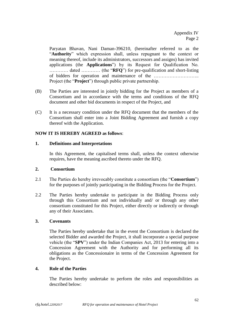Paryatan Bhavan, Nani Daman-396210, (hereinafter referred to as the "**Authority**" which expression shall, unless repugnant to the context or meaning thereof, include its administrators, successors and assigns) has invited applications (the **Applications**") by its Request for Qualification No. ………… dated ………… (the "**RFQ**") for pre-qualification and short-listing of bidders for operation and maintenance of the ……………………….. Project (the "**Project**") through public private partnership.

- (B) The Parties are interested in jointly bidding for the Project as members of a Consortium and in accordance with the terms and conditions of the RFQ document and other bid documents in respect of the Project, and
- (C) It is a necessary condition under the RFQ document that the members of the Consortium shall enter into a Joint Bidding Agreement and furnish a copy thereof with the Application.

#### **NOW IT IS HEREBY AGREED as follows**:

#### **1. Definitions and Interpretations**

In this Agreement, the capitalised terms shall, unless the context otherwise requires, have the meaning ascribed thereto under the RFQ.

#### **2. Consortium**

- 2.1 The Parties do hereby irrevocably constitute a consortium (the "**Consortium**") for the purposes of jointly participating in the Bidding Process for the Project.
- 2.2 The Parties hereby undertake to participate in the Bidding Process only through this Consortium and not individually and/ or through any other consortium constituted for this Project, either directly or indirectly or through any of their Associates.

#### **3. Covenants**

The Parties hereby undertake that in the event the Consortium is declared the selected Bidder and awarded the Project, it shall incorporate a special purpose vehicle (the "**SPV**") under the Indian Companies Act, 2013 for entering into a Concession Agreement with the Authority and for performing all its obligations as the Concessionaire in terms of the Concession Agreement for the Project.

#### **4. Role of the Parties**

The Parties hereby undertake to perform the roles and responsibilities as described below: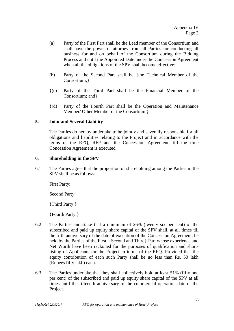- (a) Party of the First Part shall be the Lead member of the Consortium and shall have the power of attorney from all Parties for conducting all business for and on behalf of the Consortium during the Bidding Process and until the Appointed Date under the Concession Agreement when all the obligations of the SPV shall become effective;
- (b) Party of the Second Part shall be {the Technical Member of the Consortium;}
- {(c) Party of the Third Part shall be the Financial Member of the Consortium; and}
- {(d) Party of the Fourth Part shall be the Operation and Maintenance Member/ Other Member of the Consortium.}

#### **5. Joint and Several Liability**

The Parties do hereby undertake to be jointly and severally responsible for all obligations and liabilities relating to the Project and in accordance with the terms of the RFQ, RFP and the Concession Agreement, till the time Concession Agreement is executed.

#### **6**. **Shareholding in the SPV**

6.1 The Parties agree that the proportion of shareholding among the Parties in the SPV shall be as follows:

First Party:

Second Party:

{Third Party:}

{Fourth Party:}

- 6.2 The Parties undertake that a minimum of 26% (twenty six per cent) of the subscribed and paid up equity share capital of the SPV shall, at all times till the fifth anniversary of the date of execution of the Concession Agreement, be held by the Parties of the First, {Second and Third} Part whose experience and Net Worth have been reckoned for the purposes of qualification and shortlisting of Applicants for the Project in terms of the RFQ. Provided that the equity contribution of each such Party shall be no less than Rs. 50 lakh (Rupees fifty lakh) each.
- 6.3 The Parties undertake that they shall collectively hold at least 51% (fifty one per cent) of the subscribed and paid up equity share capital of the SPV at all times until the fifteenth anniversary of the commercial operation date of the Project.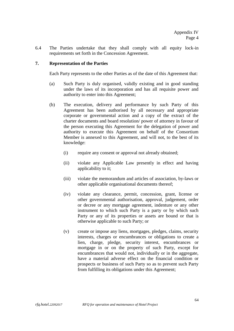6.4 The Parties undertake that they shall comply with all equity lock-in requirements set forth in the Concession Agreement.

#### **7. Representation of the Parties**

Each Party represents to the other Parties as of the date of this Agreement that:

- (a) Such Party is duly organised, validly existing and in good standing under the laws of its incorporation and has all requisite power and authority to enter into this Agreement;
- (b) The execution, delivery and performance by such Party of this Agreement has been authorised by all necessary and appropriate corporate or governmental action and a copy of the extract of the charter documents and board resolution/ power of attorney in favour of the person executing this Agreement for the delegation of power and authority to execute this Agreement on behalf of the Consortium Member is annexed to this Agreement, and will not, to the best of its knowledge:
	- (i) require any consent or approval not already obtained;
	- (ii) violate any Applicable Law presently in effect and having applicability to it;
	- (iii) violate the memorandum and articles of association, by-laws or other applicable organisational documents thereof;
	- (iv) violate any clearance, permit, concession, grant, license or other governmental authorisation, approval, judgement, order or decree or any mortgage agreement, indenture or any other instrument to which such Party is a party or by which such Party or any of its properties or assets are bound or that is otherwise applicable to such Party; or
	- (v) create or impose any liens, mortgages, pledges, claims, security interests, charges or encumbrances or obligations to create a lien, charge, pledge, security interest, encumbrances or mortgage in or on the property of such Party, except for encumbrances that would not, individually or in the aggregate, have a material adverse effect on the financial condition or prospects or business of such Party so as to prevent such Party from fulfilling its obligations under this Agreement;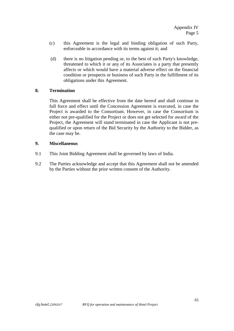- (c) this Agreement is the legal and binding obligation of such Party, enforceable in accordance with its terms against it; and
- (d) there is no litigation pending or, to the best of such Party's knowledge, threatened to which it or any of its Associates is a party that presently affects or which would have a material adverse effect on the financial condition or prospects or business of such Party in the fulfillment of its obligations under this Agreement.

#### **8. Termination**

This Agreement shall be effective from the date hereof and shall continue in full force and effect until the Concession Agreement is executed, in case the Project is awarded to the Consortium. However, in case the Consortium is either not pre-qualified for the Project or does not get selected for award of the Project, the Agreement will stand terminated in case the Applicant is not prequalified or upon return of the Bid Security by the Authority to the Bidder, as the case may be.

#### **9. Miscellaneous**

- 9.1 This Joint Bidding Agreement shall be governed by laws of India.
- 9.2 The Parties acknowledge and accept that this Agreement shall not be amended by the Parties without the prior written consent of the Authority.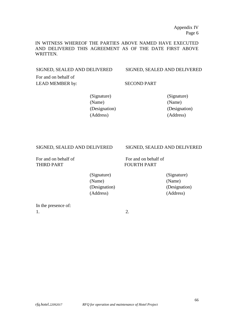IN WITNESS WHEREOF THE PARTIES ABOVE NAMED HAVE EXECUTED AND DELIVERED THIS AGREEMENT AS OF THE DATE FIRST ABOVE WRITTEN.

SIGNED, SEALED AND DELIVERED SIGNED, SEALED AND DELIVERED

For and on behalf of LEAD MEMBER by: SECOND PART

(Signature) (Signature) (Name) (Name) (Designation) (Designation) (Address) (Address)

#### SIGNED, SEALED AND DELIVERED SIGNED, SEALED AND DELIVERED

THIRD PART FOURTH PART

For and on behalf of For and on behalf of

(Signature) (Signature) (Name) (Name) (Designation) (Designation) (Address) (Address)

In the presence of:

1. 2.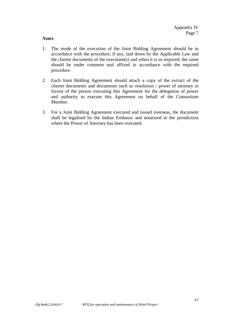#### *Notes*:

- 1. The mode of the execution of the Joint Bidding Agreement should be in accordance with the procedure, if any, laid down by the Applicable Law and the charter documents of the executant(s) and when it is so required, the same should be under common seal affixed in accordance with the required procedure.
- 2. Each Joint Bidding Agreement should attach a copy of the extract of the charter documents and documents such as resolution / power of attorney in favour of the person executing this Agreement for the delegation of power and authority to execute this Agreement on behalf of the Consortium Member.
- 3. For a Joint Bidding Agreement executed and issued overseas, the document shall be legalised by the Indian Embassy and notarized in the jurisdiction where the Power of Attorney has been executed.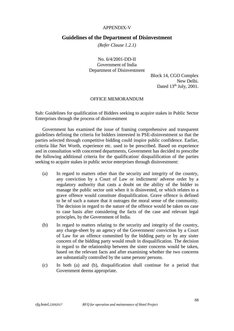#### APPENDIX-V

#### **Guidelines of the Department of Disinvestment**

*(Refer Clause 1.2.1)*

No. 6/4/2001-DD-II Government of India Department of Disinvestment

> Block 14, CGO Complex New Delhi. Dated  $13<sup>th</sup>$  July, 2001.

#### OFFICE MEMORANDUM

Sub: Guidelines for qualification of Bidders seeking to acquire stakes in Public Sector Enterprises through the process of disinvestment

Government has examined the issue of framing comprehensive and transparent guidelines defining the criteria for bidders interested in PSE-disinvestment so that the parties selected through competitive bidding could inspire public confidence. Earlier, criteria like Net Worth, experience etc. used to be prescribed. Based on experience and in consultation with concerned departments, Government has decided to prescribe the following additional criteria for the qualification/ disqualification of the parties seeking to acquire stakes in public sector enterprises through disinvestment:

- (a) In regard to matters other than the security and integrity of the country, any conviction by a Court of Law or indictment/ adverse order by a regulatory authority that casts a doubt on the ability of the bidder to manage the public sector unit when it is disinvested, or which relates to a grave offence would constitute disqualification. Grave offence is defined to be of such a nature that it outrages the moral sense of the community. The decision in regard to the nature of the offence would be taken on case to case basis after considering the facts of the case and relevant legal principles, by the Government of India.
- (b) In regard to matters relating to the security and integrity of the country, any charge-sheet by an agency of the Government/ conviction by a Court of Law for an offence committed by the bidding party or by any sister concern of the bidding party would result in disqualification. The decision in regard to the relationship between the sister concerns would be taken, based on the relevant facts and after examining whether the two concerns are substantially controlled by the same person/ persons.
- (c) In both (a) and (b), disqualification shall continue for a period that Government deems appropriate.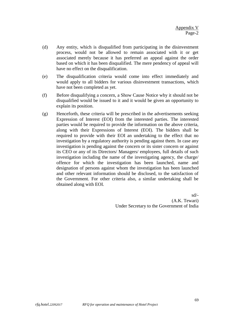- (d) Any entity, which is disqualified from participating in the disinvestment process, would not be allowed to remain associated with it or get associated merely because it has preferred an appeal against the order based on which it has been disqualified. The mere pendency of appeal will have no effect on the disqualification.
- (e) The disqualification criteria would come into effect immediately and would apply to all bidders for various disinvestment transactions, which have not been completed as yet.
- (f) Before disqualifying a concern, a Show Cause Notice why it should not be disqualified would be issued to it and it would be given an opportunity to explain its position.
- (g) Henceforth, these criteria will be prescribed in the advertisements seeking Expression of Interest (EOI) from the interested parties. The interested parties would be required to provide the information on the above criteria, along with their Expressions of Interest (EOI). The bidders shall be required to provide with their EOI an undertaking to the effect that no investigation by a regulatory authority is pending against them. In case any investigation is pending against the concern or its sister concern or against its CEO or any of its Directors/ Managers/ employees, full details of such investigation including the name of the investigating agency, the charge/ offence for which the investigation has been launched, name and designation of persons against whom the investigation has been launched and other relevant information should be disclosed, to the satisfaction of the Government. For other criteria also, a similar undertaking shall be obtained along with EOI.

sd/- (A.K. Tewari) Under Secretary to the Government of India